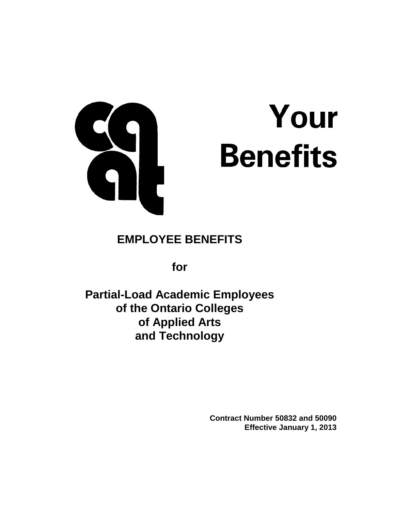

# Your **Benefits**

# **EMPLOYEE BENEFITS**

**for**

**Partial-Load Academic Employees of the Ontario Colleges of Applied Arts and Technology**

> **Contract Number 50832 and 50090 Effective January 1, 2013**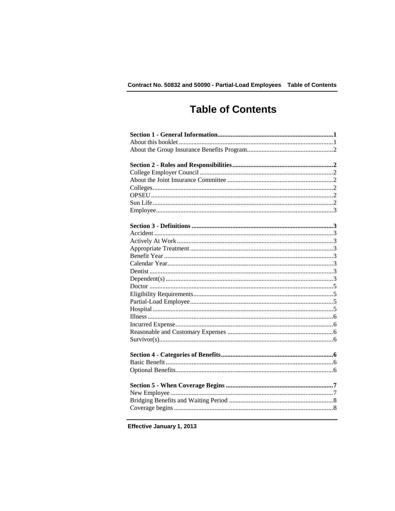# **Table of Contents**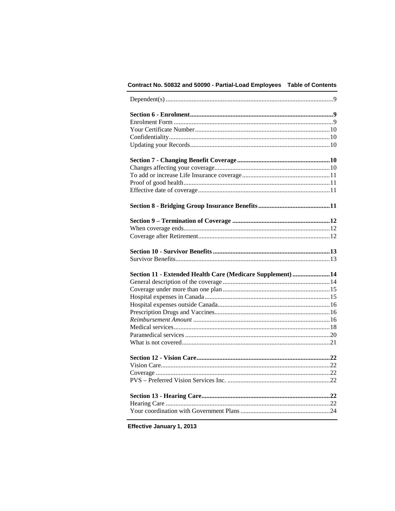### Contract No. 50832 and 50090 - Partial-Load Employees Table of Contents

| Section 11 - Extended Health Care (Medicare Supplement) 14 |  |
|------------------------------------------------------------|--|
|                                                            |  |
|                                                            |  |
|                                                            |  |
|                                                            |  |
|                                                            |  |
|                                                            |  |
|                                                            |  |
|                                                            |  |
|                                                            |  |
|                                                            |  |
|                                                            |  |
|                                                            |  |
|                                                            |  |
|                                                            |  |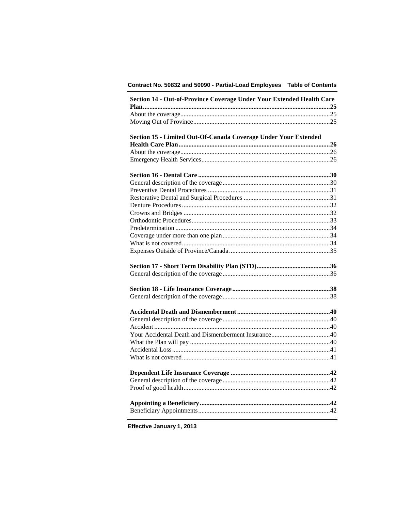### Contract No. 50832 and 50090 - Partial-Load Employees Table of Contents

|                                                                 | Section 14 - Out-of-Province Coverage Under Your Extended Health Care |
|-----------------------------------------------------------------|-----------------------------------------------------------------------|
|                                                                 |                                                                       |
|                                                                 |                                                                       |
|                                                                 |                                                                       |
|                                                                 |                                                                       |
| Section 15 - Limited Out-Of-Canada Coverage Under Your Extended |                                                                       |
|                                                                 |                                                                       |
|                                                                 |                                                                       |
|                                                                 |                                                                       |
|                                                                 |                                                                       |
|                                                                 |                                                                       |
|                                                                 |                                                                       |
|                                                                 |                                                                       |
|                                                                 |                                                                       |
|                                                                 |                                                                       |
|                                                                 |                                                                       |
|                                                                 |                                                                       |
|                                                                 |                                                                       |
|                                                                 |                                                                       |
|                                                                 |                                                                       |
|                                                                 |                                                                       |
|                                                                 |                                                                       |
|                                                                 |                                                                       |
|                                                                 |                                                                       |
|                                                                 |                                                                       |
|                                                                 |                                                                       |
|                                                                 |                                                                       |
|                                                                 |                                                                       |
|                                                                 |                                                                       |
|                                                                 |                                                                       |
|                                                                 |                                                                       |
|                                                                 |                                                                       |
|                                                                 |                                                                       |
|                                                                 |                                                                       |
|                                                                 |                                                                       |
|                                                                 |                                                                       |
|                                                                 |                                                                       |
|                                                                 |                                                                       |
|                                                                 |                                                                       |
|                                                                 |                                                                       |
|                                                                 |                                                                       |
|                                                                 |                                                                       |
|                                                                 |                                                                       |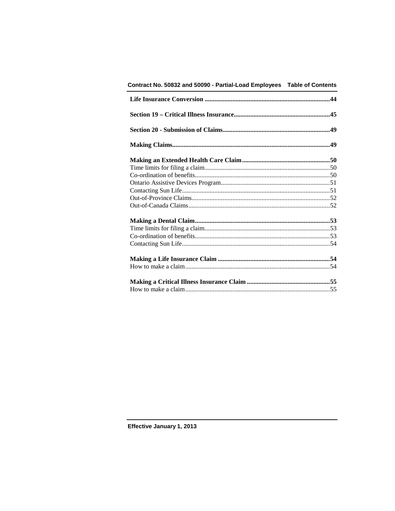| Contract No. 50832 and 50090 - Partial-Load Employees    Table of Contents |  |
|----------------------------------------------------------------------------|--|
|                                                                            |  |
|                                                                            |  |
|                                                                            |  |
|                                                                            |  |
|                                                                            |  |
|                                                                            |  |
|                                                                            |  |
|                                                                            |  |
|                                                                            |  |
|                                                                            |  |
|                                                                            |  |
|                                                                            |  |
|                                                                            |  |
|                                                                            |  |
|                                                                            |  |
|                                                                            |  |
|                                                                            |  |
|                                                                            |  |
|                                                                            |  |
|                                                                            |  |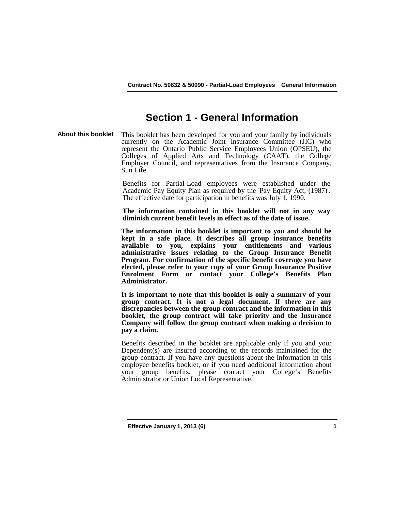# **Section 1 - General Information**

**About this booklet** This booklet has been developed for you and your family by individuals currently on the Academic Joint Insurance Committee (JIC) who represent the Ontario Public Service Employees Union (OPSEU), the Colleges of Applied Arts and Technology (CAAT), the College Employer Council, and representatives from the Insurance Company, Sun Life.

> Benefits for Partial-Load employees were established under the Academic Pay Equity Plan as required by the 'Pay Equity Act, (1987)'. The effective date for participation in benefits was July 1, 1990.

> **The information contained in this booklet will not in any way diminish current benefit levels in effect as of the date of issue.**

> **The information in this booklet is important to you and should be kept in a safe place. It describes all group insurance benefits available to you, explains your entitlements and various administrative issues relating to the Group Insurance Benefit Program. For confirmation of the specific benefit coverage you have elected, please refer to your copy of your Group Insurance Positive Enrolment Form or contact your College's Benefits Plan Administrator.**

> **It is important to note that this booklet is only a summary of your group contract. It is not a legal document. If there are any discrepancies between the group contract and the information in this booklet, the group contract will take priority and the Insurance Company will follow the group contract when making a decision to pay a claim.**

> Benefits described in the booklet are applicable only if you and your Dependent(s) are insured according to the records maintained for the group contract. If you have any questions about the information in this employee benefits booklet, or if you need additional information about your group benefits, please contact your College's Benefits Administrator or Union Local Representative.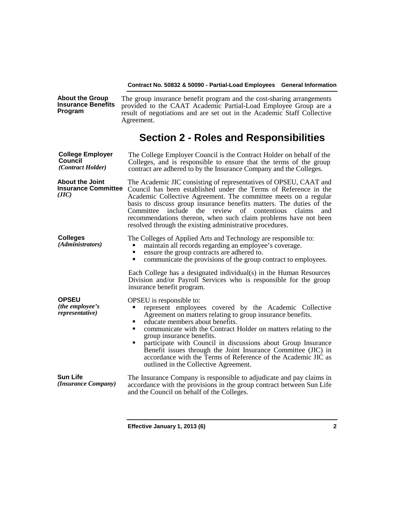| <b>About the Group</b><br><b>Insurance Benefits</b><br>Program | The group insurance benefit program and the cost-sharing arrangements<br>provided to the CAAT Academic Partial-Load Employee Group are a<br>result of negotiations and are set out in the Academic Staff Collective<br>Agreement.                                                                                                                                                                                                                                                                                                              |  |
|----------------------------------------------------------------|------------------------------------------------------------------------------------------------------------------------------------------------------------------------------------------------------------------------------------------------------------------------------------------------------------------------------------------------------------------------------------------------------------------------------------------------------------------------------------------------------------------------------------------------|--|
|                                                                | <b>Section 2 - Roles and Responsibilities</b>                                                                                                                                                                                                                                                                                                                                                                                                                                                                                                  |  |
| <b>College Employer</b><br>Council<br>(Contract Holder)        | The College Employer Council is the Contract Holder on behalf of the<br>Colleges, and is responsible to ensure that the terms of the group<br>contract are adhered to by the Insurance Company and the Colleges.                                                                                                                                                                                                                                                                                                                               |  |
| <b>About the Joint</b><br><b>Insurance Committee</b><br>(JIC)  | The Academic JIC consisting of representatives of OPSEU, CAAT and<br>Council has been established under the Terms of Reference in the<br>Academic Collective Agreement. The committee meets on a regular<br>basis to discuss group insurance benefits matters. The duties of the<br>include the<br>review<br>of contentious<br>Committee<br>claims<br>and<br>recommendations thereon, when such claim problems have not been<br>resolved through the existing administrative procedures.                                                       |  |
| <b>Colleges</b><br>(Administrators)                            | The Colleges of Applied Arts and Technology are responsible to:<br>maintain all records regarding an employee's coverage.<br>ensure the group contracts are adhered to.<br>٠<br>communicate the provisions of the group contract to employees.<br>٠                                                                                                                                                                                                                                                                                            |  |
|                                                                | Each College has a designated individual(s) in the Human Resources<br>Division and/or Payroll Services who is responsible for the group<br>insurance benefit program.                                                                                                                                                                                                                                                                                                                                                                          |  |
| <b>OPSEU</b><br>(the employee's<br>representative)             | OPSEU is responsible to:<br>represent employees covered by the Academic Collective<br>Agreement on matters relating to group insurance benefits.<br>educate members about benefits.<br>٠<br>communicate with the Contract Holder on matters relating to the<br>٠<br>group insurance benefits.<br>participate with Council in discussions about Group Insurance<br>٠<br>Benefit issues through the Joint Insurance Committee (JIC) in<br>accordance with the Terms of Reference of the Academic JIC as<br>outlined in the Collective Agreement. |  |
| <b>Sun Life</b><br>(Insurance Company)                         | The Insurance Company is responsible to adjudicate and pay claims in<br>accordance with the provisions in the group contract between Sun Life<br>and the Council on behalf of the Colleges.                                                                                                                                                                                                                                                                                                                                                    |  |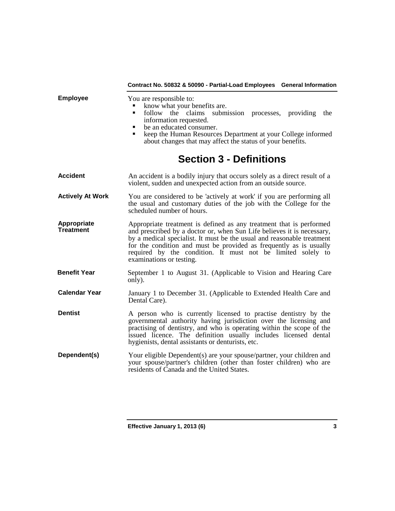|                                 | Contract No. 50832 & 50090 - Partial-Load Employees General Information                                                                                                                                                                                                                                                                                                                  |  |  |
|---------------------------------|------------------------------------------------------------------------------------------------------------------------------------------------------------------------------------------------------------------------------------------------------------------------------------------------------------------------------------------------------------------------------------------|--|--|
| <b>Employee</b>                 | You are responsible to:<br>know what your benefits are.<br>follow the claims submission processes, providing the<br>٠<br>information requested.<br>be an educated consumer.<br>keep the Human Resources Department at your College informed<br>about changes that may affect the status of your benefits.                                                                                |  |  |
|                                 | <b>Section 3 - Definitions</b>                                                                                                                                                                                                                                                                                                                                                           |  |  |
| <b>Accident</b>                 | An accident is a bodily injury that occurs solely as a direct result of a<br>violent, sudden and unexpected action from an outside source.                                                                                                                                                                                                                                               |  |  |
| <b>Actively At Work</b>         | You are considered to be 'actively at work' if you are performing all<br>the usual and customary duties of the job with the College for the<br>scheduled number of hours.                                                                                                                                                                                                                |  |  |
| Appropriate<br><b>Treatment</b> | Appropriate treatment is defined as any treatment that is performed<br>and prescribed by a doctor or, when Sun Life believes it is necessary,<br>by a medical specialist. It must be the usual and reasonable treatment<br>for the condition and must be provided as frequently as is usually<br>required by the condition. It must not be limited solely to<br>examinations or testing. |  |  |
| <b>Benefit Year</b>             | September 1 to August 31. (Applicable to Vision and Hearing Care<br>only).                                                                                                                                                                                                                                                                                                               |  |  |
| <b>Calendar Year</b>            | January 1 to December 31. (Applicable to Extended Health Care and<br>Dental Care).                                                                                                                                                                                                                                                                                                       |  |  |
| <b>Dentist</b>                  | A person who is currently licensed to practise dentistry by the<br>governmental authority having jurisdiction over the licensing and<br>practising of dentistry, and who is operating within the scope of the<br>issued licence. The definition usually includes licensed dental<br>hygienists, dental assistants or denturists, etc.                                                    |  |  |
| Dependent(s)                    | Your eligible Dependent(s) are your spouse/partner, your children and<br>your spouse/partner's children (other than foster children) who are<br>residents of Canada and the United States.                                                                                                                                                                                               |  |  |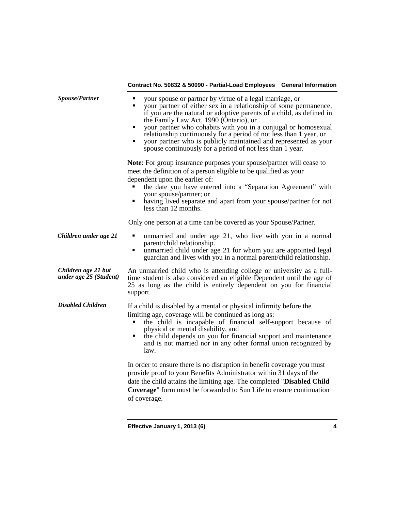| Spouse/Partner                                | your spouse or partner by virtue of a legal marriage, or<br>٠<br>your partner of either sex in a relationship of some permanence,<br>п<br>if you are the natural or adoptive parents of a child, as defined in<br>the Family Law Act, 1990 (Ontario), or<br>your partner who cohabits with you in a conjugal or homosexual<br>$\blacksquare$<br>relationship continuously for a period of not less than 1 year, or<br>your partner who is publicly maintained and represented as your<br>п<br>spouse continuously for a period of not less than 1 year. |  |
|-----------------------------------------------|---------------------------------------------------------------------------------------------------------------------------------------------------------------------------------------------------------------------------------------------------------------------------------------------------------------------------------------------------------------------------------------------------------------------------------------------------------------------------------------------------------------------------------------------------------|--|
|                                               | <b>Note:</b> For group insurance purposes your spouse/partner will cease to<br>meet the definition of a person eligible to be qualified as your<br>dependent upon the earlier of:<br>the date you have entered into a "Separation Agreement" with<br>your spouse/partner; or<br>having lived separate and apart from your spouse/partner for not<br>less than 12 months.                                                                                                                                                                                |  |
|                                               | Only one person at a time can be covered as your Spouse/Partner.                                                                                                                                                                                                                                                                                                                                                                                                                                                                                        |  |
| Children under age 21                         | unmarried and under age 21, who live with you in a normal<br>$\blacksquare$<br>parent/child relationship.<br>unmarried child under age 21 for whom you are appointed legal<br>٠<br>guardian and lives with you in a normal parent/child relationship.                                                                                                                                                                                                                                                                                                   |  |
| Children age 21 but<br>under age 25 (Student) | An unmarried child who is attending college or university as a full-<br>time student is also considered an eligible Dependent until the age of<br>25 as long as the child is entirely dependent on you for financial<br>support.                                                                                                                                                                                                                                                                                                                        |  |
| <b>Disabled Children</b>                      | If a child is disabled by a mental or physical infirmity before the<br>limiting age, coverage will be continued as long as:<br>the child is incapable of financial self-support because of<br>physical or mental disability, and<br>the child depends on you for financial support and maintenance<br>٠<br>and is not married nor in any other formal union recognized by<br>law.                                                                                                                                                                       |  |
|                                               | In order to ensure there is no disruption in benefit coverage you must<br>provide proof to your Benefits Administrator within 31 days of the<br>date the child attains the limiting age. The completed "Disabled Child<br><b>Coverage</b> " form must be forwarded to Sun Life to ensure continuation<br>of coverage.                                                                                                                                                                                                                                   |  |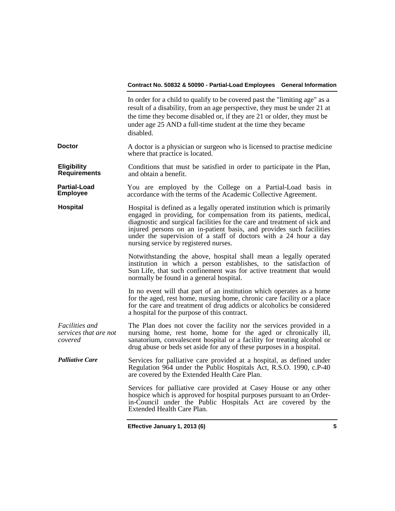|                                                    | In order for a child to qualify to be covered past the "limiting age" as a<br>result of a disability, from an age perspective, they must be under 21 at<br>the time they become disabled or, if they are 21 or older, they must be<br>under age 25 AND a full-time student at the time they became<br>disabled.                                                                                                  |
|----------------------------------------------------|------------------------------------------------------------------------------------------------------------------------------------------------------------------------------------------------------------------------------------------------------------------------------------------------------------------------------------------------------------------------------------------------------------------|
| <b>Doctor</b>                                      | A doctor is a physician or surgeon who is licensed to practise medicine<br>where that practice is located.                                                                                                                                                                                                                                                                                                       |
| <b>Eligibility</b><br><b>Requirements</b>          | Conditions that must be satisfied in order to participate in the Plan,<br>and obtain a benefit.                                                                                                                                                                                                                                                                                                                  |
| <b>Partial-Load</b><br><b>Employee</b>             | You are employed by the College on a Partial-Load basis in<br>accordance with the terms of the Academic Collective Agreement.                                                                                                                                                                                                                                                                                    |
| <b>Hospital</b>                                    | Hospital is defined as a legally operated institution which is primarily<br>engaged in providing, for compensation from its patients, medical,<br>diagnostic and surgical facilities for the care and treatment of sick and<br>injured persons on an in-patient basis, and provides such facilities<br>under the supervision of a staff of doctors with a 24 hour a day<br>nursing service by registered nurses. |
|                                                    | Notwithstanding the above, hospital shall mean a legally operated<br>institution in which a person establishes, to the satisfaction of<br>Sun Life, that such confinement was for active treatment that would<br>normally be found in a general hospital.                                                                                                                                                        |
|                                                    | In no event will that part of an institution which operates as a home<br>for the aged, rest home, nursing home, chronic care facility or a place<br>for the care and treatment of drug addicts or alcoholics be considered<br>a hospital for the purpose of this contract.                                                                                                                                       |
| Facilities and<br>services that are not<br>covered | The Plan does not cover the facility nor the services provided in a<br>nursing home, rest home, home for the aged or chronically ill,<br>sanatorium, convalescent hospital or a facility for treating alcohol or<br>drug abuse or beds set aside for any of these purposes in a hospital.                                                                                                                        |
| <b>Palliative Care</b>                             | Services for palliative care provided at a hospital, as defined under<br>Regulation 964 under the Public Hospitals Act, R.S.O. 1990, c.P-40<br>are covered by the Extended Health Care Plan.                                                                                                                                                                                                                     |
|                                                    | Services for palliative care provided at Casey House or any other<br>hospice which is approved for hospital purposes pursuant to an Order-<br>in-Council under the Public Hospitals Act are covered by the<br>Extended Health Care Plan.                                                                                                                                                                         |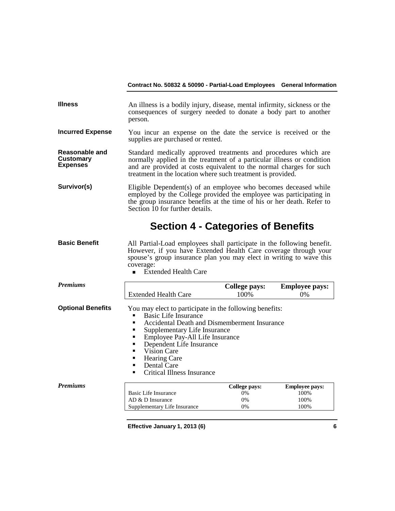| <b>Illness</b>                                        | An illness is a bodily injury, disease, mental infirmity, sickness or the<br>consequences of surgery needed to donate a body part to another<br>person.                                                                                                                         |
|-------------------------------------------------------|---------------------------------------------------------------------------------------------------------------------------------------------------------------------------------------------------------------------------------------------------------------------------------|
| <b>Incurred Expense</b>                               | You incur an expense on the date the service is received or the<br>supplies are purchased or rented.                                                                                                                                                                            |
| Reasonable and<br><b>Customary</b><br><b>Expenses</b> | Standard medically approved treatments and procedures which are<br>normally applied in the treatment of a particular illness or condition<br>and are provided at costs equivalent to the normal charges for such<br>treatment in the location where such treatment is provided. |
| Survivor(s)                                           | Eligible Dependent(s) of an employee who becomes deceased while<br>employed by the College provided the employee was participating in<br>the group insurance benefits at the time of his or her death. Refer to<br>Section 10 for further details.                              |

# **Section 4 - Categories of Benefits**

- **Basic Benefit** All Partial-Load employees shall participate in the following benefit. However, if you have Extended Health Care coverage through your spouse's group insurance plan you may elect in writing to wave this coverage:
	- **Extended Health Care**

| <b>Premiums</b>          |                                                                                                                                                                                                                                                                                                                                                      | <b>College pays:</b> | <b>Employee pays:</b> |
|--------------------------|------------------------------------------------------------------------------------------------------------------------------------------------------------------------------------------------------------------------------------------------------------------------------------------------------------------------------------------------------|----------------------|-----------------------|
|                          | <b>Extended Health Care</b>                                                                                                                                                                                                                                                                                                                          | 100%                 | $0\%$                 |
| <b>Optional Benefits</b> | You may elect to participate in the following benefits:<br><b>Basic Life Insurance</b><br>Accidental Death and Dismemberment Insurance<br>Supplementary Life Insurance<br>Employee Pay-All Life Insurance<br>٠<br>Dependent Life Insurance<br>Vision Care<br><b>Hearing Care</b><br>■<br>Dental Care<br>$\blacksquare$<br>Critical Illness Insurance |                      |                       |
| <b>Premiums</b>          |                                                                                                                                                                                                                                                                                                                                                      | College pays:        | <b>Employee pays:</b> |
|                          | Basic Life Insurance                                                                                                                                                                                                                                                                                                                                 | $0\%$                | 100%                  |
|                          | $AD & D$ Insurance                                                                                                                                                                                                                                                                                                                                   | $0\%$                | 100%                  |
|                          | Supplementary Life Insurance                                                                                                                                                                                                                                                                                                                         | 0%                   | 100%                  |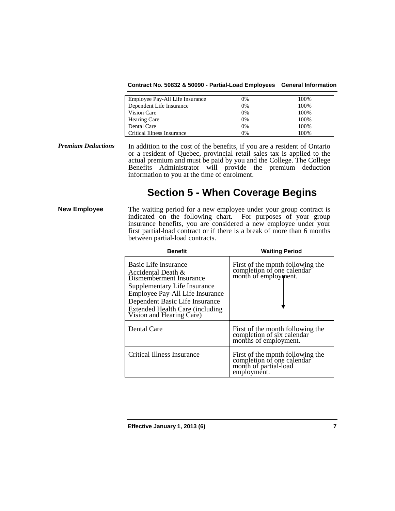**Contract No. 50832 & 50090 - Partial-Load Employees General Information**

| Employee Pay-All Life Insurance | 0%    | 100% |
|---------------------------------|-------|------|
| Dependent Life Insurance        | $0\%$ | 100% |
| Vision Care                     | 0%    | 100% |
| <b>Hearing Care</b>             | 0%    | 100% |
| Dental Care                     | 0%    | 100% |
| Critical Illness Insurance      | 0%    | 100% |

*Premium Deductions* In addition to the cost of the benefits, if you are a resident of Ontario or a resident of Quebec, provincial retail sales tax is applied to the actual premium and must be paid by you and the College. The College Benefits Administrator will provide the premium deduction information to you at the time of enrolment.

# **Section 5 - When Coverage Begins**

**New Employee** The waiting period for a new employee under your group contract is indicated on the following chart. For purposes of your group insurance benefits, you are considered a new employee under your first partial-load contract or if there is a break of more than 6 months between partial-load contracts.

| <b>Benefit</b>                                                                                                                                                                                                                               | <b>Waiting Period</b>                                                                                  |
|----------------------------------------------------------------------------------------------------------------------------------------------------------------------------------------------------------------------------------------------|--------------------------------------------------------------------------------------------------------|
| Basic Life Insurance<br>Accidental Death $\&$<br>Dismemberment Insurance<br>Supplementary Life Insurance<br>Employee Pay-All Life Insurance<br>Dependent Basic Life Insurance<br>Extended Health Care (including<br>Vision and Hearing Care) | First of the month following the<br>completion of one calendar<br>month of employment.                 |
| Dental Care                                                                                                                                                                                                                                  | First of the month following the<br>completion of six calendar<br>months of employment.                |
| Critical Illness Insurance                                                                                                                                                                                                                   | First of the month following the<br>completion of one calendar<br>month of partial-load<br>employment. |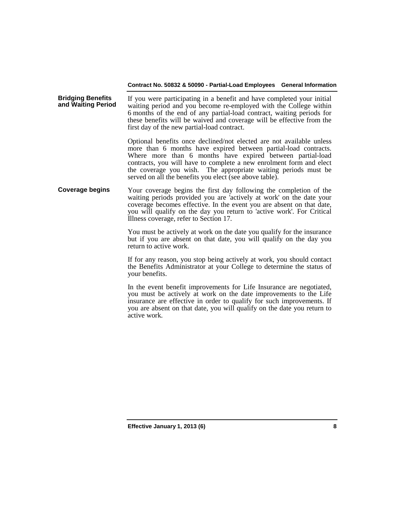**Bridging Benefits**  If you were participating in a benefit and have completed your initial waiting period and you become re-employed with the College within 6 months of the end of any partial-load contract, waiting periods for these benefits will be waived and coverage will be effective from the first day of the new partial-load contract.

> Optional benefits once declined/not elected are not available unless more than 6 months have expired between partial-load contracts. Where more than 6 months have expired between partial-load contracts, you will have to complete a new enrolment form and elect the coverage you wish. The appropriate waiting periods must be served on all the benefits you elect (see above table).

**Coverage begins** Your coverage begins the first day following the completion of the waiting periods provided you are 'actively at work' on the date your coverage becomes effective. In the event you are absent on that date, you will qualify on the day you return to 'active work'. For Critical Illness coverage, refer to Section 17.

> You must be actively at work on the date you qualify for the insurance but if you are absent on that date, you will qualify on the day you return to active work.

> If for any reason, you stop being actively at work, you should contact the Benefits Administrator at your College to determine the status of your benefits.

> In the event benefit improvements for Life Insurance are negotiated, you must be actively at work on the date improvements to the Life insurance are effective in order to qualify for such improvements. If you are absent on that date, you will qualify on the date you return to active work.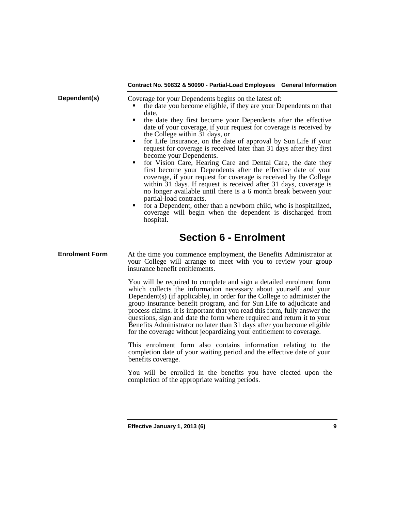|              | Contract No. 50832 & 50090 - Partial-Load Employees General Information                                                                                                                                                                                                                                                                                                                                                                                                                                                                                                                                                                                                                                                                                                                                                                                                                                                                                                                                                   |
|--------------|---------------------------------------------------------------------------------------------------------------------------------------------------------------------------------------------------------------------------------------------------------------------------------------------------------------------------------------------------------------------------------------------------------------------------------------------------------------------------------------------------------------------------------------------------------------------------------------------------------------------------------------------------------------------------------------------------------------------------------------------------------------------------------------------------------------------------------------------------------------------------------------------------------------------------------------------------------------------------------------------------------------------------|
| Dependent(s) | Coverage for your Dependents begins on the latest of:<br>the date you become eligible, if they are your Dependents on that<br>date,<br>the date they first become your Dependents after the effective<br>٠<br>date of your coverage, if your request for coverage is received by<br>the College within 31 days, or<br>• for Life Insurance, on the date of approval by Sun Life if your<br>request for coverage is received later than 31 days after they first<br>become your Dependents.<br>• for Vision Care, Hearing Care and Dental Care, the date they<br>first become your Dependents after the effective date of your<br>coverage, if your request for coverage is received by the College<br>within 31 days. If request is received after 31 days, coverage is<br>no longer available until there is a 6 month break between your<br>partial-load contracts.<br>for a Dependent, other than a newborn child, who is hospitalized,<br>٠<br>coverage will begin when the dependent is discharged from<br>hospital. |

# **Section 6 - Enrolment**

### **Enrolment Form** At the time you commence employment, the Benefits Administrator at your College will arrange to meet with you to review your group insurance benefit entitlements.

You will be required to complete and sign a detailed enrolment form which collects the information necessary about yourself and your Dependent(s) (if applicable), in order for the College to administer the group insurance benefit program, and for Sun Life to adjudicate and process claims. It is important that you read this form, fully answer the questions, sign and date the form where required and return it to your Benefits Administrator no later than 31 days after you become eligible for the coverage without jeopardizing your entitlement to coverage.

This enrolment form also contains information relating to the completion date of your waiting period and the effective date of your benefits coverage.

You will be enrolled in the benefits you have elected upon the completion of the appropriate waiting periods.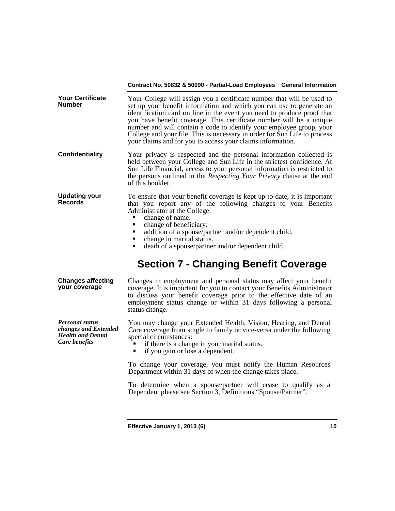| <b>Your Certificate</b><br><b>Number</b> | Your College will assign you a certificate number that will be used to<br>set up your benefit information and which you can use to generate an<br>identification card on line in the event you need to produce proof that<br>you have benefit coverage. This certificate number will be a unique<br>number and will contain a code to identify your employee group, your<br>College and your file. This is necessary in order for Sun Life to process<br>your claims and for you to access your claims information. |
|------------------------------------------|---------------------------------------------------------------------------------------------------------------------------------------------------------------------------------------------------------------------------------------------------------------------------------------------------------------------------------------------------------------------------------------------------------------------------------------------------------------------------------------------------------------------|
| Confidentiality                          | Your privacy is respected and the personal information collected is<br>held between your College and Sun Life in the strictest confidence. At<br>Con Life Cinemaial, access to crops accessed information is acctuated to                                                                                                                                                                                                                                                                                           |

- Sun Life Financial, access to your personal information is restricted to the persons outlined in the *Respecting Your Privacy* clause at the end of this booklet.
- **Updating your Updating your** To ensure that your benefit coverage is kept up-to-date, it is important **Records** that you report any of the following changes to your Benefits Administrator at the College:<br>
change of name.<br>
change of heneficiary
	-
	- change of beneficiary.
	- addition of a spouse/partner and/or dependent child.<br>  $\blacksquare$  change in marital status
	- change in marital status.
	- death of a spouse/partner and/or dependent child.

# **Section 7 - Changing Benefit Coverage**

### **Changes affecting your coverage** Changes in employment and personal status may affect your benefit coverage. It is important for you to contact your Benefits Administrator to discuss your benefit coverage prior to the effective date of an

*Personal status changes and Extended Health and Dental Care benefits*

employment status change or within 31 days following a personal status change. You may change your Extended Health, Vision, Hearing, and Dental

Care coverage from single to family or vice-versa under the following special circumstances:

- if there is a change in your marital status.<br>• if you gain or lose a dependent.
- if you gain or lose a dependent.

To change your coverage, you must notify the Human Resources Department within 31 days of when the change takes place.

To determine when a spouse/partner will cease to qualify as a Dependent please see Section 3, Definitions "Spouse/Partner".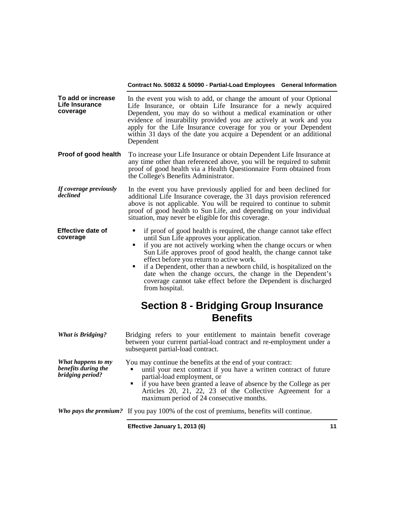- **To add or increase Life Insurance coverage** In the event you wish to add, or change the amount of your Optional Life Insurance, or obtain Life Insurance for a newly acquired Dependent, you may do so without a medical examination or other evidence of insurability provided you are actively at work and you apply for the Life Insurance coverage for you or your Dependent within 31 days of the date you acquire a Dependent or an additional Dependent
- **Proof of good health** To increase your Life Insurance or obtain Dependent Life Insurance at any time other than referenced above, you will be required to submit proof of good health via a Health Questionnaire Form obtained from the College's Benefits Administrator.
- *If coverage previously*  In the event you have previously applied for and been declined for additional Life Insurance coverage, the 31 days provision referenced above is not applicable. You will be required to continue to submit proof of good health to Sun Life, and depending on your individual situation, may never be eligible for this coverage.
- **Effective date of**  if proof of good health is required, the change cannot take effect until Sun Life approves your application.
	- if you are not actively working when the change occurs or when Sun Life approves proof of good health, the change cannot take effect before you return to active work.
	- $\blacksquare$  if a Dependent, other than a newborn child, is hospitalized on the date when the change occurs, the change in the Dependent's coverage cannot take effect before the Dependent is discharged from hospital.

# **Section 8 - Bridging Group Insurance Benefits**

| <b>What is Bridging?</b>                                      | Bridging refers to your entitlement to maintain benefit coverage<br>between your current partial-load contract and re-employment under a<br>subsequent partial-load contract.                                                                                                                                                                  |
|---------------------------------------------------------------|------------------------------------------------------------------------------------------------------------------------------------------------------------------------------------------------------------------------------------------------------------------------------------------------------------------------------------------------|
| What happens to my<br>benefits during the<br>bridging period? | You may continue the benefits at the end of your contract:<br>until your next contract if you have a written contract of future<br>partial-load employment, or<br>• if you have been granted a leave of absence by the College as per<br>Articles 20, 21, 22, 23 of the Collective Agreement for a<br>maximum period of 24 consecutive months. |
|                                                               | Who pays the premium? If you pay 100% of the cost of premiums, benefits will continue.                                                                                                                                                                                                                                                         |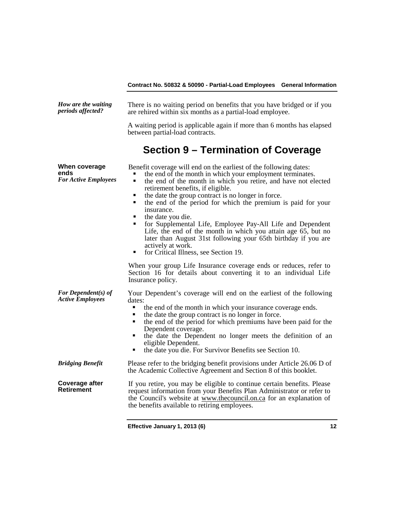| How are the waiting<br>periods affected?             | There is no waiting period on benefits that you have bridged or if you<br>are rehired within six months as a partial-load employee.                                                                                                                                                                                                                                                                                                                                                                                                                                                                                                                                                         |  |  |
|------------------------------------------------------|---------------------------------------------------------------------------------------------------------------------------------------------------------------------------------------------------------------------------------------------------------------------------------------------------------------------------------------------------------------------------------------------------------------------------------------------------------------------------------------------------------------------------------------------------------------------------------------------------------------------------------------------------------------------------------------------|--|--|
|                                                      | A waiting period is applicable again if more than 6 months has elapsed<br>between partial-load contracts.                                                                                                                                                                                                                                                                                                                                                                                                                                                                                                                                                                                   |  |  |
|                                                      | Section 9 – Termination of Coverage                                                                                                                                                                                                                                                                                                                                                                                                                                                                                                                                                                                                                                                         |  |  |
| When coverage<br>ends<br><b>For Active Employees</b> | Benefit coverage will end on the earliest of the following dates:<br>the end of the month in which your employment terminates.<br>the end of the month in which you retire, and have not elected<br>٠<br>retirement benefits, if eligible.<br>the date the group contract is no longer in force.<br>٠<br>the end of the period for which the premium is paid for your<br>٠<br>insurance.<br>the date you die.<br>٠<br>for Supplemental Life, Employee Pay-All Life and Dependent<br>٠<br>Life, the end of the month in which you attain age 65, but no<br>later than August 31st following your 65th birthday if you are<br>actively at work.<br>for Critical Illness, see Section 19.<br>٠ |  |  |
|                                                      | When your group Life Insurance coverage ends or reduces, refer to<br>Section 16 for details about converting it to an individual Life<br>Insurance policy.                                                                                                                                                                                                                                                                                                                                                                                                                                                                                                                                  |  |  |
| For Dependent(s) of<br><b>Active Employees</b>       | Your Dependent's coverage will end on the earliest of the following<br>dates:<br>the end of the month in which your insurance coverage ends.<br>Ξ<br>the date the group contract is no longer in force.<br>п<br>the end of the period for which premiums have been paid for the<br>Dependent coverage.<br>the date the Dependent no longer meets the definition of an<br>٠<br>eligible Dependent.<br>the date you die. For Survivor Benefits see Section 10.<br>٠                                                                                                                                                                                                                           |  |  |
| <b>Bridging Benefit</b>                              | Please refer to the bridging benefit provisions under Article 26.06 D of<br>the Academic Collective Agreement and Section 8 of this booklet.                                                                                                                                                                                                                                                                                                                                                                                                                                                                                                                                                |  |  |
| Coverage after<br>Retirement                         | If you retire, you may be eligible to continue certain benefits. Please<br>request information from your Benefits Plan Administrator or refer to<br>the Council's website at www.thecouncil.on.ca for an explanation of<br>the benefits available to retiring employees.                                                                                                                                                                                                                                                                                                                                                                                                                    |  |  |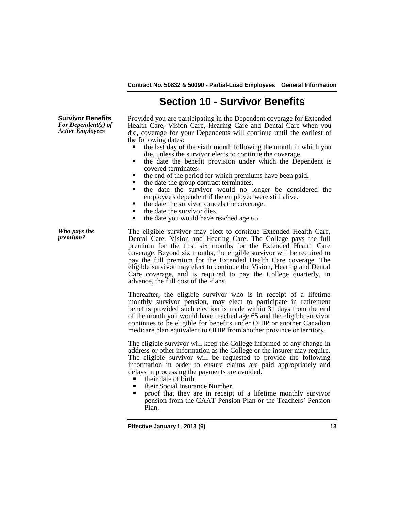# **Section 10 - Survivor Benefits**

**Survivor Benefits** *For Dependent(s) of Active Employees*

Provided you are participating in the Dependent coverage for Extended Health Care, Vision Care, Hearing Care and Dental Care when you die, coverage for your Dependents will continue until the earliest of the following dates:

- the last day of the sixth month following the month in which you die, unless the survivor elects to continue the coverage.
- the date the benefit provision under which the Dependent is covered terminates.
- the end of the period for which premiums have been paid.
- 
- the date the group contract terminates.<br>
 the date the survivor would no longer be considered the employee's dependent if the employee were still alive.
- the date the survivor cancels the coverage.
- $\blacksquare$  the date the survivor dies.
- the date you would have reached age 65.

*Who pays the* 

The eligible survivor may elect to continue Extended Health Care, Dental Care, Vision and Hearing Care. The College pays the full premium for the first six months for the Extended Health Care coverage. Beyond six months, the eligible survivor will be required to pay the full premium for the Extended Health Care coverage. The eligible survivor may elect to continue the Vision, Hearing and Dental Care coverage, and is required to pay the College quarterly, in advance, the full cost of the Plans.

Thereafter, the eligible survivor who is in receipt of a lifetime monthly survivor pension, may elect to participate in retirement benefits provided such election is made within 31 days from the end of the month you would have reached age 65 and the eligible survivor continues to be eligible for benefits under OHIP or another Canadian medicare plan equivalent to OHIP from another province or territory.

The eligible survivor will keep the College informed of any change in address or other information as the College or the insurer may require. The eligible survivor will be requested to provide the following information in order to ensure claims are paid appropriately and delays in processing the payments are avoided.

■ their date of birth.<br>■ their Social Insura

- their Social Insurance Number.<br>• proof that they are in receipt
- proof that they are in receipt of a lifetime monthly survivor pension from the CAAT Pension Plan or the Teachers' Pension Plan.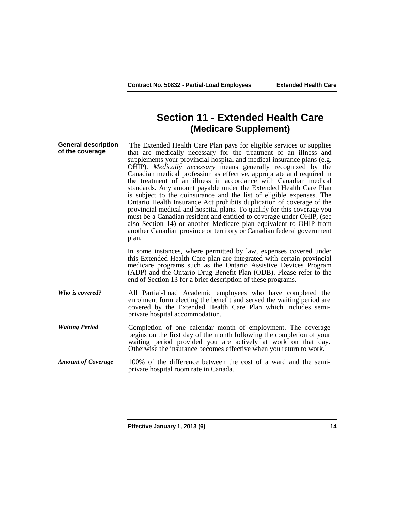# **Section 11 - Extended Health Care (Medicare Supplement)**

**General description General description** The Extended Health Care Plan pays for eligible services or supplies of the coverage that are medically necessary for the treatment of an illness and supplements your provincial hospital and medical insurance plans (e.g. OHIP). *Medically necessary* means generally recognized by the Canadian medical profession as effective, appropriate and required in the treatment of an illness in accordance with Canadian medical standards. Any amount payable under the Extended Health Care Plan is subject to the coinsurance and the list of eligible expenses. The Ontario Health Insurance Act prohibits duplication of coverage of the provincial medical and hospital plans. To qualify for this coverage you must be a Canadian resident and entitled to coverage under OHIP, (see also Section 14) or another Medicare plan equivalent to OHIP from another Canadian province or territory or Canadian federal government plan. In some instances, where permitted by law, expenses covered under this Extended Health Care plan are integrated with certain provincial medicare programs such as the Ontario Assistive Devices Program (ADP) and the Ontario Drug Benefit Plan (ODB). Please refer to the end of Section 13 for a brief description of these programs. *Who is covered?* All Partial-Load Academic employees who have completed the enrolment form electing the benefit and served the waiting period are covered by the Extended Health Care Plan which includes semiprivate hospital accommodation. *Waiting Period* Completion of one calendar month of employment. The coverage begins on the first day of the month following the completion of your waiting period provided you are actively at work on that day. Otherwise the insurance becomes effective when you return to work.

*Amount of Coverage* 100% of the difference between the cost of a ward and the semiprivate hospital room rate in Canada.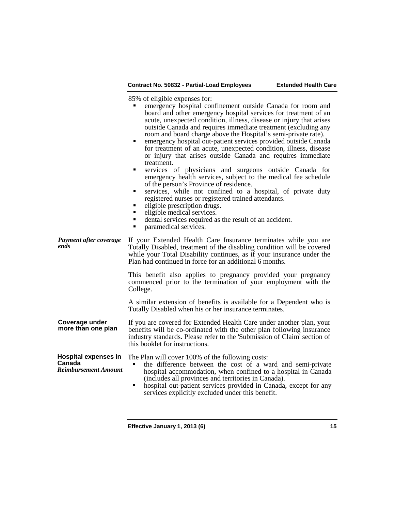85% of eligible expenses for:

|                                                                      | emergency hospital confinement outside Canada for room and<br>board and other emergency hospital services for treatment of an<br>acute, unexpected condition, illness, disease or injury that arises<br>outside Canada and requires immediate treatment (excluding any<br>room and board charge above the Hospital's semi-private rate).<br>emergency hospital out-patient services provided outside Canada<br>٠<br>for treatment of an acute, unexpected condition, illness, disease<br>or injury that arises outside Canada and requires immediate<br>treatment.<br>services of physicians and surgeons outside Canada for<br>Ξ<br>emergency health services, subject to the medical fee schedule<br>of the person's Province of residence.<br>services, while not confined to a hospital, of private duty<br>٠<br>registered nurses or registered trained attendants.<br>eligible prescription drugs.<br>٠<br>eligible medical services.<br>٠<br>dental services required as the result of an accident.<br>٠<br>٠<br>paramedical services. |
|----------------------------------------------------------------------|-----------------------------------------------------------------------------------------------------------------------------------------------------------------------------------------------------------------------------------------------------------------------------------------------------------------------------------------------------------------------------------------------------------------------------------------------------------------------------------------------------------------------------------------------------------------------------------------------------------------------------------------------------------------------------------------------------------------------------------------------------------------------------------------------------------------------------------------------------------------------------------------------------------------------------------------------------------------------------------------------------------------------------------------------|
| Payment after coverage<br>ends                                       | If your Extended Health Care Insurance terminates while you are<br>Totally Disabled, treatment of the disabling condition will be covered<br>while your Total Disability continues, as if your insurance under the<br>Plan had continued in force for an additional 6 months.                                                                                                                                                                                                                                                                                                                                                                                                                                                                                                                                                                                                                                                                                                                                                                 |
|                                                                      | This benefit also applies to pregnancy provided your pregnancy<br>commenced prior to the termination of your employment with the<br>College.                                                                                                                                                                                                                                                                                                                                                                                                                                                                                                                                                                                                                                                                                                                                                                                                                                                                                                  |
|                                                                      | A similar extension of benefits is available for a Dependent who is<br>Totally Disabled when his or her insurance terminates.                                                                                                                                                                                                                                                                                                                                                                                                                                                                                                                                                                                                                                                                                                                                                                                                                                                                                                                 |
| Coverage under<br>more than one plan                                 | If you are covered for Extended Health Care under another plan, your<br>benefits will be co-ordinated with the other plan following insurance<br>industry standards. Please refer to the 'Submission of Claim' section of<br>this booklet for instructions.                                                                                                                                                                                                                                                                                                                                                                                                                                                                                                                                                                                                                                                                                                                                                                                   |
| <b>Hospital expenses in</b><br>Canada<br><b>Reimbursement Amount</b> | The Plan will cover 100% of the following costs:<br>the difference between the cost of a ward and semi-private<br>hospital accommodation, when confined to a hospital in Canada<br>(includes all provinces and territories in Canada).<br>hospital out-patient services provided in Canada, except for any<br>٠<br>services explicitly excluded under this benefit.                                                                                                                                                                                                                                                                                                                                                                                                                                                                                                                                                                                                                                                                           |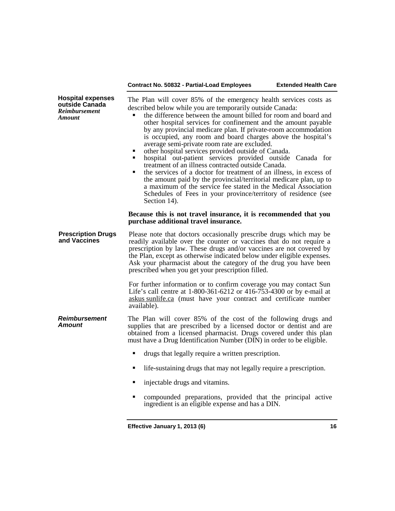| <b>Hospital expenses</b><br>outside Canada<br><b>Reimbursement</b><br>Amount | The Plan will cover 85% of the emergency health services costs as<br>described below while you are temporarily outside Canada:<br>the difference between the amount billed for room and board and<br>other hospital services for confinement and the amount payable<br>by any provincial medicare plan. If private-room accommodation<br>is occupied, any room and board charges above the hospital's<br>average semi-private room rate are excluded.<br>other hospital services provided outside of Canada.<br>п<br>hospital out-patient services provided outside Canada for<br>٠<br>treatment of an illness contracted outside Canada.<br>the services of a doctor for treatment of an illness, in excess of<br>٠<br>the amount paid by the provincial/territorial medicare plan, up to<br>a maximum of the service fee stated in the Medical Association<br>Schedules of Fees in your province/territory of residence (see<br>Section 14). |  |
|------------------------------------------------------------------------------|------------------------------------------------------------------------------------------------------------------------------------------------------------------------------------------------------------------------------------------------------------------------------------------------------------------------------------------------------------------------------------------------------------------------------------------------------------------------------------------------------------------------------------------------------------------------------------------------------------------------------------------------------------------------------------------------------------------------------------------------------------------------------------------------------------------------------------------------------------------------------------------------------------------------------------------------|--|
|                                                                              | Because this is not travel insurance, it is recommended that you<br>purchase additional travel insurance.                                                                                                                                                                                                                                                                                                                                                                                                                                                                                                                                                                                                                                                                                                                                                                                                                                      |  |
| <b>Prescription Drugs</b><br>and Vaccines                                    | Please note that doctors occasionally prescribe drugs which may be<br>readily available over the counter or vaccines that do not require a<br>prescription by law. These drugs and/or vaccines are not covered by<br>the Plan, except as otherwise indicated below under eligible expenses.<br>Ask your pharmacist about the category of the drug you have been<br>prescribed when you get your prescription filled.                                                                                                                                                                                                                                                                                                                                                                                                                                                                                                                           |  |
|                                                                              | For further information or to confirm coverage you may contact Sun<br>Life's call centre at 1-800-361-6212 or 416-753-4300 or by e-mail at<br>askus sunlife.ca (must have your contract and certificate number<br>available).                                                                                                                                                                                                                                                                                                                                                                                                                                                                                                                                                                                                                                                                                                                  |  |
| <b>Reimbursement</b><br>Amount                                               | The Plan will cover 85% of the cost of the following drugs and<br>supplies that are prescribed by a licensed doctor or dentist and are<br>obtained from a licensed pharmacist. Drugs covered under this plan<br>must have a Drug Identification Number (DIN) in order to be eligible.                                                                                                                                                                                                                                                                                                                                                                                                                                                                                                                                                                                                                                                          |  |
|                                                                              | ٠<br>drugs that legally require a written prescription.                                                                                                                                                                                                                                                                                                                                                                                                                                                                                                                                                                                                                                                                                                                                                                                                                                                                                        |  |
|                                                                              | life-sustaining drugs that may not legally require a prescription.<br>п                                                                                                                                                                                                                                                                                                                                                                                                                                                                                                                                                                                                                                                                                                                                                                                                                                                                        |  |
|                                                                              | injectable drugs and vitamins.                                                                                                                                                                                                                                                                                                                                                                                                                                                                                                                                                                                                                                                                                                                                                                                                                                                                                                                 |  |
|                                                                              | compounded preparations, provided that the principal active<br>٠<br>ingredient is an eligible expense and has a DIN.                                                                                                                                                                                                                                                                                                                                                                                                                                                                                                                                                                                                                                                                                                                                                                                                                           |  |
|                                                                              |                                                                                                                                                                                                                                                                                                                                                                                                                                                                                                                                                                                                                                                                                                                                                                                                                                                                                                                                                |  |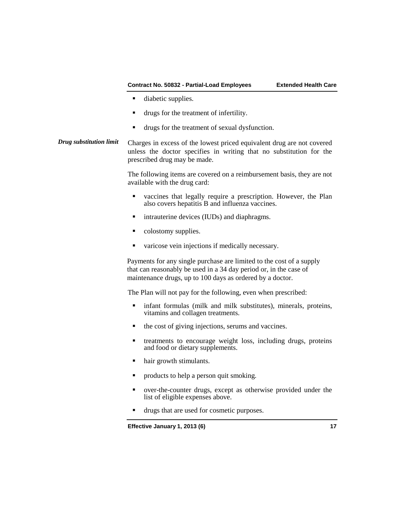- **diabetic supplies.**
- drugs for the treatment of infertility.
- drugs for the treatment of sexual dysfunction.
- *Drug substitution limit* Charges in excess of the lowest priced equivalent drug are not covered unless the doctor specifies in writing that no substitution for the prescribed drug may be made.

The following items are covered on a reimbursement basis, they are not available with the drug card:

- vaccines that legally require a prescription. However, the Plan also covers hepatitis B and influenza vaccines.
- **u.** intrauterine devices (IUDs) and diaphragms.
- colostomy supplies.
- varicose vein injections if medically necessary.

Payments for any single purchase are limited to the cost of a supply that can reasonably be used in a 34 day period or, in the case of maintenance drugs, up to 100 days as ordered by a doctor.

The Plan will not pay for the following, even when prescribed:

- infant formulas (milk and milk substitutes), minerals, proteins, vitamins and collagen treatments.
- $\blacksquare$  the cost of giving injections, serums and vaccines.
- treatments to encourage weight loss, including drugs, proteins and food or dietary supplements.
- hair growth stimulants.
- products to help a person quit smoking.
- over-the-counter drugs, except as otherwise provided under the list of eligible expenses above.
- drugs that are used for cosmetic purposes.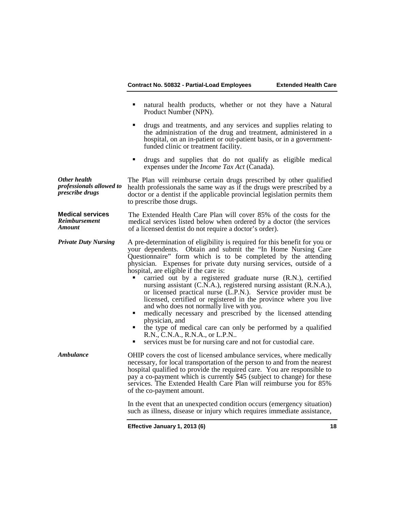- natural health products, whether or not they have a Natural Product Number (NPN).
- drugs and treatments, and any services and supplies relating to the administration of the drug and treatment, administered in a hospital, on an in-patient or out-patient basis, or in a governmentfunded clinic or treatment facility.
- drugs and supplies that do not qualify as eligible medical expenses under the *Income Tax Act* (Canada).

*Other health professionals allowed to prescribe drugs* The Plan will reimburse certain drugs prescribed by other qualified health professionals the same way as if the drugs were prescribed by a doctor or a dentist if the applicable provincial legislation permits them to prescribe those drugs.

**Medical services** *Reimbursement Amount* The Extended Health Care Plan will cover 85% of the costs for the medical services listed below when ordered by a doctor (the services of a licensed dentist do not require a doctor's order).

*Private Duty Nursing* A pre-determination of eligibility is required for this benefit for you or your dependents. Obtain and submit the "In Home Nursing Care Questionnaire" form which is to be completed by the attending physician. Expenses for private duty nursing services, outside of a hospital, are eligible if the care is:

- carried out by a registered graduate nurse (R.N.), certified nursing assistant (C.N.A.), registered nursing assistant (R.N.A.), or licensed practical nurse (L.P.N.). Service provider must be licensed, certified or registered in the province where you live and who does not normally live with you.
- medically necessary and prescribed by the licensed attending physician, and
- the type of medical care can only be performed by a qualified R.N., C.N.A., R.N.A., or L.P.N..
- services must be for nursing care and not for custodial care.

*Ambulance* **OHIP** covers the cost of licensed ambulance services, where medically necessary, for local transportation of the person to and from the nearest hospital qualified to provide the required care. You are responsible to pay a co-payment which is currently \$45 (subject to change) for these services. The Extended Health Care Plan will reimburse you for 85% of the co-payment amount.

> In the event that an unexpected condition occurs (emergency situation) such as illness, disease or injury which requires immediate assistance,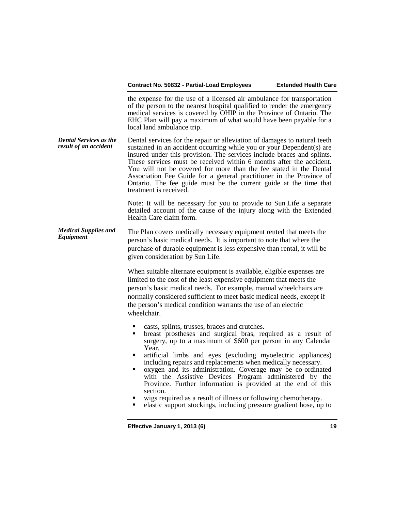the expense for the use of a licensed air ambulance for transportation of the person to the nearest hospital qualified to render the emergency medical services is covered by OHIP in the Province of Ontario. The EHC Plan will pay a maximum of what would have been payable for a local land ambulance trip.

*Dental Services as the result of an accident* Dental services for the repair or alleviation of damages to natural teeth sustained in an accident occurring while you or your Dependent(s) are insured under this provision. The services include braces and splints. These services must be received within 6 months after the accident. You will not be covered for more than the fee stated in the Dental Association Fee Guide for a general practitioner in the Province of Ontario. The fee guide must be the current guide at the time that treatment is received.

> Note: It will be necessary for you to provide to Sun Life a separate detailed account of the cause of the injury along with the Extended Health Care claim form.

*Medical Supplies and*  The Plan covers medically necessary equipment rented that meets the person's basic medical needs. It is important to note that where the purchase of durable equipment is less expensive than rental, it will be given consideration by Sun Life.

> When suitable alternate equipment is available, eligible expenses are limited to the cost of the least expensive equipment that meets the person's basic medical needs. For example, manual wheelchairs are normally considered sufficient to meet basic medical needs, except if the person's medical condition warrants the use of an electric wheelchair.

- 
- casts, splints, trusses, braces and crutches. breast prostheses and surgical bras, required as a result of surgery, up to a maximum of \$600 per person in any Calendar Year.<br>
• artificial limbs and eyes (excluding myoelectric appliances)
- including repairs and replacements when medically necessary.
- oxygen and its administration. Coverage may be co-ordinated with the Assistive Devices Program administered by the Province. Further information is provided at the end of this
- wigs required as a result of illness or following chemotherapy.
- elastic support stockings, including pressure gradient hose, up to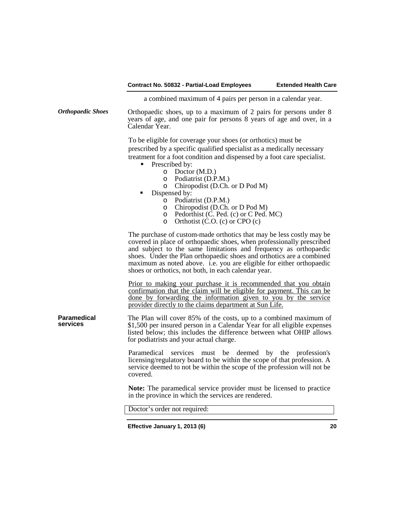a combined maximum of 4 pairs per person in a calendar year.

*Orthopaedic Shoes* Orthopaedic shoes, up to a maximum of 2 pairs for persons under 8 years of age, and one pair for persons 8 years of age and over, in a Calendar Year.

> To be eligible for coverage your shoes (or orthotics) must be prescribed by a specific qualified specialist as a medically necessary treatment for a foot condition and dispensed by a foot care specialist.

- **Prescribed by:** 
	- o Doctor (M.D.)
	- o Podiatrist (D.P.M.)
	- o Chiropodist (D.Ch. or D Pod M)
- Dispensed by:
	- o Podiatrist (D.P.M.)
	- o Chiropodist (D.Ch. or D Pod M)<br>
	o Pedorthist (C. Ped. (c) or C Ped.
	- $\circ$  Pedorthist (C. Ped. (c) or C Ped. MC)<br>  $\circ$  Orthotist (C. O. (c) or CPO (c)
	- Orthotist  $(C.O. (c)$  or  $CPO(c)$

The purchase of custom-made orthotics that may be less costly may be covered in place of orthopaedic shoes, when professionally prescribed and subject to the same limitations and frequency as orthopaedic shoes. Under the Plan orthopaedic shoes and orthotics are a combined maximum as noted above. i.e. you are eligible for either orthopaedic shoes or orthotics, not both, in each calendar year.

Prior to making your purchase it is recommended that you obtain confirmation that the claim will be eligible for payment. This can be done by forwarding the information given to you by the service provider directly to the claims department at Sun Life.

The Plan will cover 85% of the costs, up to a combined maximum of \$1,500 per insured person in a Calendar Year for all eligible expenses listed below; this includes the difference between what OHIP allows for podiatrists and your actual charge.

> Paramedical services must be deemed by the profession's licensing/regulatory board to be within the scope of that profession. A service deemed to not be within the scope of the profession will not be covered.

> **Note:** The paramedical service provider must be licensed to practice in the province in which the services are rendered.

Doctor's order not required:

**Paramedical**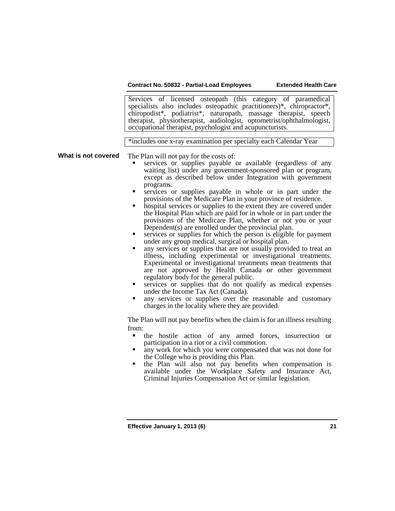Services of licensed osteopath (this category of paramedical specialists also includes osteopathic practitioners)\*, chiropractor\*, chiropodist\*, podiatrist\*, naturopath, massage therapist, speech therapist, physiotherapist, audiologist, optometrist/ophthalmologist, occupational therapist, psychologist and acupuncturists.

\*includes one x-ray examination per specialty each Calendar Year

**What is not covered** The Plan will not pay for the costs of:

- services or supplies payable or available (regardless of any waiting list) under any government-sponsored plan or program, except as described below under Integration with government
- services or supplies payable in whole or in part under the provisions of the Medicare Plan in your province of residence.
- hospital services or supplies to the extent they are covered under the Hospital Plan which are paid for in whole or in part under the provisions of the Medicare Plan, whether or not you or your Dependent(s) are enrolled under the provincial plan.
- services or supplies for which the person is eligible for payment under any group medical, surgical or hospital plan.
- any services or supplies that are not usually provided to treat an illness, including experimental or investigational treatments. Experimental or investigational treatments mean treatments that are not approved by Health Canada or other government regulatory body for the general public.
- services or supplies that do not qualify as medical expenses under the Income Tax Act (Canada).
- any services or supplies over the reasonable and customary charges in the locality where they are provided.

The Plan will not pay benefits when the claim is for an illness resulting from:

- the hostile action of any armed forces, insurrection or participation in a riot or a civil commotion.
- any work for which you were compensated that was not done for the College who is providing this Plan.
- the Plan will also not pay benefits when compensation is available under the Workplace Safety and Insurance Act, Criminal Injuries Compensation Act or similar legislation.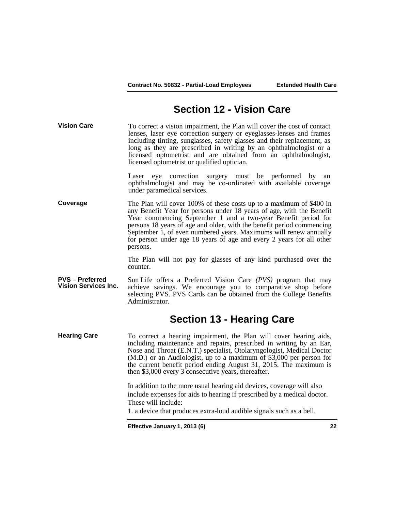# **Section 12 - Vision Care**

**Vision Care** To correct a vision impairment, the Plan will cover the cost of contact lenses, laser eye correction surgery or eyeglasses-lenses and frames including tinting, sunglasses, safety glasses and their replacement, as long as they are prescribed in writing by an ophthalmologist or a licensed optometrist and are obtained from an ophthalmologist, licensed optometrist or qualified optician.

> Laser eye correction surgery must be performed by an ophthalmologist and may be co-ordinated with available coverage under paramedical services.

**Coverage** The Plan will cover 100% of these costs up to a maximum of \$400 in any Benefit Year for persons under 18 years of age, with the Benefit Year commencing September 1 and a two-year Benefit period for persons 18 years of age and older, with the benefit period commencing September 1, of even numbered years. Maximums will renew annually for person under age 18 years of age and every 2 years for all other persons.

> The Plan will not pay for glasses of any kind purchased over the counter.

**PVS – Preferred Vision Services Inc.** Sun Life offers a Preferred Vision Care *(PVS)* program that may achieve savings. We encourage you to comparative shop before selecting PVS. PVS Cards can be obtained from the College Benefits Administrator.

# **Section 13 - Hearing Care**

**Hearing Care** To correct a hearing impairment, the Plan will cover hearing aids, including maintenance and repairs, prescribed in writing by an Ear, Nose and Throat (E.N.T.) specialist, Otolaryngologist, Medical Doctor (M.D.) or an Audiologist, up to a maximum of \$3,000 per person for the current benefit period ending August 31, 2015. The maximum is then \$3,000 every 3 consecutive years, thereafter.

> In addition to the more usual hearing aid devices, coverage will also include expenses for aids to hearing if prescribed by a medical doctor. These will include:

1. a device that produces extra-loud audible signals such as a bell,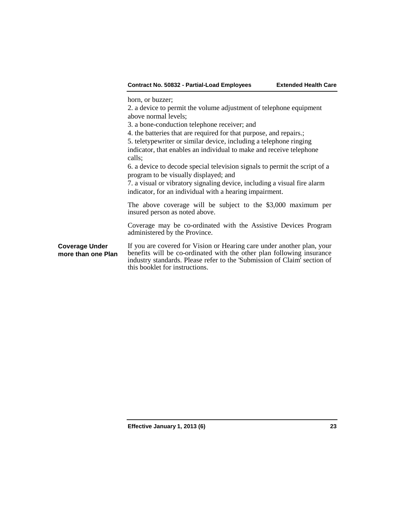horn, or buzzer;

2. a device to permit the volume adjustment of telephone equipment above normal levels;

3. a bone-conduction telephone receiver; and

4. the batteries that are required for that purpose, and repairs.;

5. teletypewriter or similar device, including a telephone ringing

indicator, that enables an individual to make and receive telephone calls;

6. a device to decode special television signals to permit the script of a program to be visually displayed; and

7. a visual or vibratory signaling device, including a visual fire alarm indicator, for an individual with a hearing impairment.

The above coverage will be subject to the \$3,000 maximum per insured person as noted above.

Coverage may be co-ordinated with the Assistive Devices Program administered by the Province.

**Coverage Under more than one Plan** If you are covered for Vision or Hearing care under another plan, your benefits will be co-ordinated with the other plan following insurance industry standards. Please refer to the 'Submission of Claim' section of this booklet for instructions.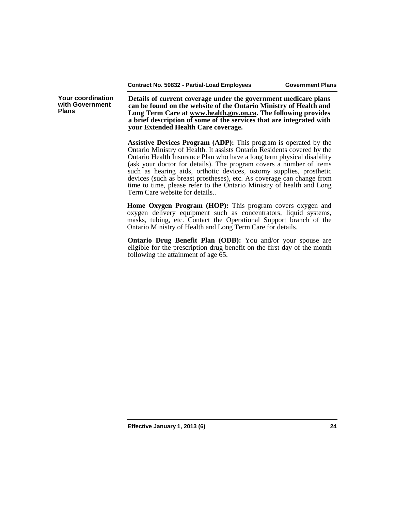**Your coordination with Government Plans**

**Details of current coverage under the government medicare plans can be found on the website of the Ontario Ministry of Health and Long Term Care at [www.health.gov.on.ca.](http://www.health.gov.on.ca/) The following provides a brief description of some of the services that are integrated with your Extended Health Care coverage.**

**Assistive Devices Program (ADP):** This program is operated by the Ontario Ministry of Health. It assists Ontario Residents covered by the Ontario Health Insurance Plan who have a long term physical disability (ask your doctor for details). The program covers a number of items such as hearing aids, orthotic devices, ostomy supplies, prosthetic devices (such as breast prostheses), etc. As coverage can change from time to time, please refer to the Ontario Ministry of health and Long Term Care website for details..

**Home Oxygen Program (HOP):** This program covers oxygen and oxygen delivery equipment such as concentrators, liquid systems, masks, tubing, etc. Contact the Operational Support branch of the Ontario Ministry of Health and Long Term Care for details.

**Ontario Drug Benefit Plan (ODB):** You and/or your spouse are eligible for the prescription drug benefit on the first day of the month following the attainment of age 65.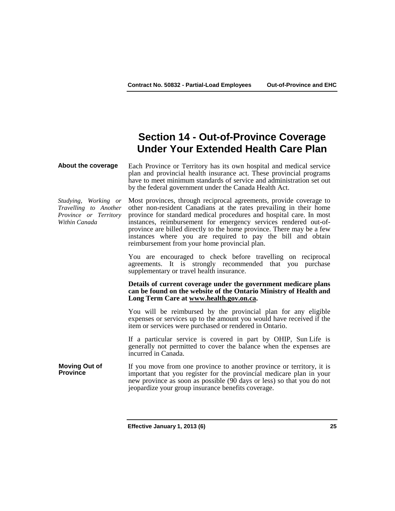# **Section 14 - Out-of-Province Coverage Under Your Extended Health Care Plan**

**About the coverage** Each Province or Territory has its own hospital and medical service plan and provincial health insurance act. These provincial programs have to meet minimum standards of service and administration set out by the federal government under the Canada Health Act.

*Studying, Working or Travelling to Another Province or Territory Within Canada*

Most provinces, through reciprocal agreements, provide coverage to other non-resident Canadians at the rates prevailing in their home province for standard medical procedures and hospital care. In most instances, reimbursement for emergency services rendered out-ofprovince are billed directly to the home province. There may be a few instances where you are required to pay the bill and obtain reimbursement from your home provincial plan.

You are encouraged to check before travelling on reciprocal agreements. It is strongly recommended that you purchase supplementary or travel health insurance.

### **Details of current coverage under the government medicare plans can be found on the website of the Ontario Ministry of Health and Long Term Care at [www.health.gov.on.ca.](http://www.health.gov.on.ca/)**

You will be reimbursed by the provincial plan for any eligible expenses or services up to the amount you would have received if the item or services were purchased or rendered in Ontario.

If a particular service is covered in part by OHIP, Sun Life is generally not permitted to cover the balance when the expenses are incurred in Canada.

**Moving Out of Moving Out of** If you move from one province to another province or territory, it is important that you register for the provincial medicare plan in your new province as soon as possible (90 days or less) so that you do not jeopardize your group insurance benefits coverage.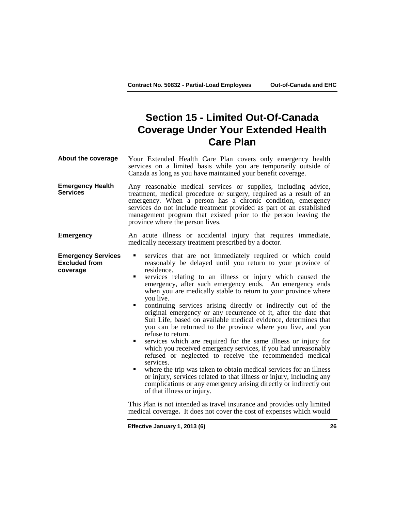# **Section 15 - Limited Out-Of-Canada Coverage Under Your Extended Health Care Plan**

**About the coverage** Your Extended Health Care Plan covers only emergency health services on a limited basis while you are temporarily outside of Canada as long as you have maintained your benefit coverage.

- **Emergency Health Services** Any reasonable medical services or supplies, including advice, treatment, medical procedure or surgery, required as a result of an emergency. When a person has a chronic condition, emergency services do not include treatment provided as part of an established management program that existed prior to the person leaving the province where the person lives.
- **Emergency** An acute illness or accidental injury that requires immediate, medically necessary treatment prescribed by a doctor.
- **Emergency Services Excluded from coverage** services that are not immediately required or which could reasonably be delayed until you return to your province of residence.
	- services relating to an illness or injury which caused the emergency, after such emergency ends. An emergency ends when you are medically stable to return to your province where you live.
	- continuing services arising directly or indirectly out of the original emergency or any recurrence of it, after the date that Sun Life, based on available medical evidence, determines that you can be returned to the province where you live, and you
	- refuse to return. services which are required for the same illness or injury for which you received emergency services, if you had unreasonably refused or neglected to receive the recommended medical services.
	- where the trip was taken to obtain medical services for an illness or injury, services related to that illness or injury, including any complications or any emergency arising directly or indirectly out of that illness or injury.

This Plan is not intended as travel insurance and provides only limited medical coverage**.** It does not cover the cost of expenses which would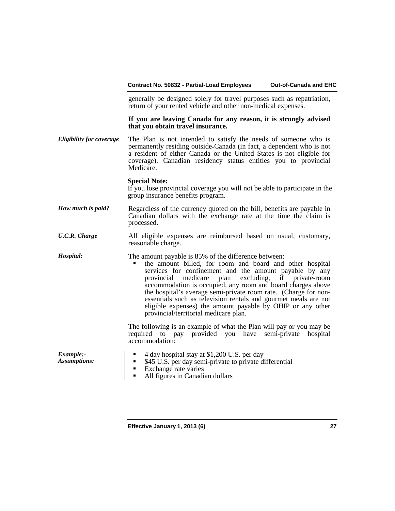generally be designed solely for travel purposes such as repatriation, return of your rented vehicle and other non-medical expenses.

### **If you are leaving Canada for any reason, it is strongly advised that you obtain travel insurance.**

*Eligibility for coverage* The Plan is not intended to satisfy the needs of someone who is permanently residing outside Canada (in fact, a dependent who is not a resident of either Canada or the United States is not eligible for coverage). Canadian residency status entitles you to provincial Medicare.

### **Special Note:**

If you lose provincial coverage you will not be able to participate in the group insurance benefits program.

- *How much is paid?* Regardless of the currency quoted on the bill, benefits are payable in Canadian dollars with the exchange rate at the time the claim is processed.
- *U.C.R. Charge* All eligible expenses are reimbursed based on usual, customary, reasonable charge.
- *Hospital:* The amount payable is 85% of the difference between:
	- the amount billed, for room and board and other hospital services for confinement and the amount payable by any provincial medicare plan excluding, if private-room accommodation is occupied, any room and board charges above the hospital's average semi-private room rate. (Charge for nonessentials such as television rentals and gourmet meals are not eligible expenses) the amount payable by OHIP or any other provincial/territorial medicare plan.

The following is an example of what the Plan will pay or you may be required to pay provided you have semi-private hospital accommodation:

| Example:-<br>$\blacksquare$ 4 day hospital stay at \$1,200 U.S. per day<br><b>Assumptions:</b><br>• \$45 U.S. per day semi-private to private differential<br>• Exchange rate varies<br>All figures in Canadian dollars |
|-------------------------------------------------------------------------------------------------------------------------------------------------------------------------------------------------------------------------|
|-------------------------------------------------------------------------------------------------------------------------------------------------------------------------------------------------------------------------|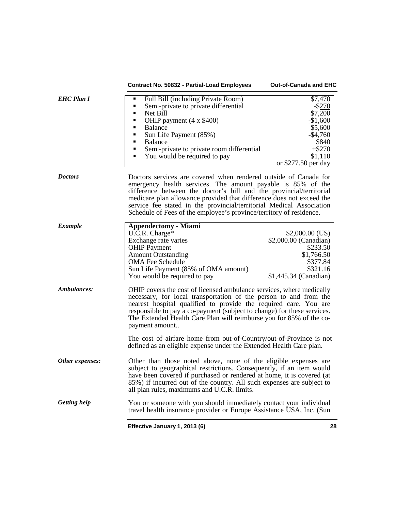|                     | Contract No. 50832 - Partial-Load Employees                                                                                                                                                                                                                                                                                                                                                                                                                                                                                     | Out-of-Canada and EHC                                                                                                       |
|---------------------|---------------------------------------------------------------------------------------------------------------------------------------------------------------------------------------------------------------------------------------------------------------------------------------------------------------------------------------------------------------------------------------------------------------------------------------------------------------------------------------------------------------------------------|-----------------------------------------------------------------------------------------------------------------------------|
| <b>EHC Plan I</b>   | Full Bill (including Private Room)<br>$\blacksquare$<br>Semi-private to private differential<br>$\blacksquare$<br>Net Bill<br>$\blacksquare$<br>OHIP payment (4 x \$400)<br>٠<br><b>Balance</b><br>Sun Life Payment (85%)<br><b>Balance</b><br>Semi-private to private room differential<br>You would be required to pay                                                                                                                                                                                                        | \$7,470<br>$-$ \$270<br>\$7,200<br>$-$1,600$<br>\$5,600<br>$-$4,760$<br>\$840<br>$+ $270$<br>\$1,110<br>or \$277.50 per day |
| <b>Doctors</b>      | Doctors services are covered when rendered outside of Canada for<br>emergency health services. The amount payable is 85% of the<br>difference between the doctor's bill and the provincial/territorial<br>medicare plan allowance provided that difference does not exceed the<br>service fee stated in the provincial/territorial Medical Association<br>Schedule of Fees of the employee's province/territory of residence.                                                                                                   |                                                                                                                             |
| <b>Example</b>      | <b>Appendectomy - Miami</b><br>$U.C.R.$ Charge*<br>Exchange rate varies<br><b>OHIP</b> Payment<br><b>Amount Outstanding</b><br><b>OMA Fee Schedule</b><br>Sun Life Payment (85% of OMA amount)<br>You would be required to pay                                                                                                                                                                                                                                                                                                  | $$2,000.00$ (US)<br>\$2,000.00 (Canadian)<br>\$233.50<br>\$1,766.50<br>\$377.84<br>\$321.16<br>\$1,445.34 (Canadian)        |
| Ambulances:         | OHIP covers the cost of licensed ambulance services, where medically<br>necessary, for local transportation of the person to and from the<br>nearest hospital qualified to provide the required care. You are<br>responsible to pay a co-payment (subject to change) for these services.<br>The Extended Health Care Plan will reimburse you for 85% of the co-<br>payment amount<br>The cost of airfare home from out-of-Country/out-of-Province is not<br>defined as an eligible expense under the Extended Health Care plan. |                                                                                                                             |
| Other expenses:     | Other than those noted above, none of the eligible expenses are<br>subject to geographical restrictions. Consequently, if an item would<br>have been covered if purchased or rendered at home, it is covered (at<br>85%) if incurred out of the country. All such expenses are subject to<br>all plan rules, maximums and U.C.R. limits.                                                                                                                                                                                        |                                                                                                                             |
| <b>Getting help</b> | You or someone with you should immediately contact your individual<br>travel health insurance provider or Europe Assistance USA, Inc. (Sun                                                                                                                                                                                                                                                                                                                                                                                      |                                                                                                                             |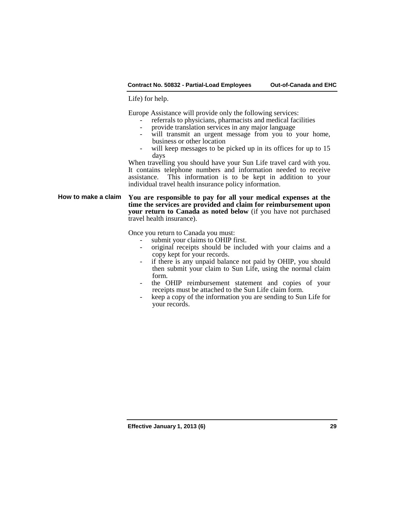Life) for help.

Europe Assistance will provide only the following services:

- referrals to physicians, pharmacists and medical facilities provide translation services in any major language
- 
- will transmit an urgent message from you to your home, business or other location
- will keep messages to be picked up in its offices for up to 15 days

When travelling you should have your Sun Life travel card with you. It contains telephone numbers and information needed to receive This information is to be kept in addition to your individual travel health insurance policy information.

**How to make a claim You are responsible to pay for all your medical expenses at the time the services are provided and claim for reimbursement upon your return to Canada as noted below** (if you have not purchased travel health insurance).

- Once you return to Canada you must:<br>- submit your claims to OHIP first.<br>- original receipts should be inclu
	- original receipts should be included with your claims and a copy kept for your records.
	- if there is any unpaid balance not paid by OHIP, you should then submit your claim to Sun Life, using the normal claim
	- the OHIP reimbursement statement and copies of your receipts must be attached to the Sun Life claim form.
	- keep a copy of the information you are sending to Sun Life for your records.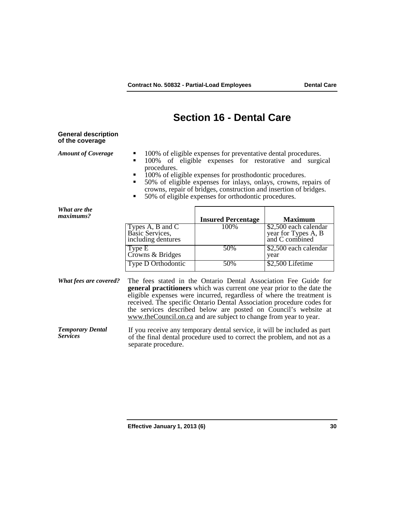# **Section 16 - Dental Care**

### **General description of the coverage**

- 
- *Amount of Coverage* **100%** of eligible expenses for preventative dental procedures.<br>100% of eligible expenses for restorative and surgical procedures.
	- $\overline{100\%}$  of eligible expenses for prosthodontic procedures.
	- 50% of eligible expenses for inlays, onlays, crowns, repairs of crowns, repair of bridges, construction and insertion of bridges.
	- 50% of eligible expenses for orthodontic procedures.

*What are the* 

| <i>wnu ure me</i><br>maximums? |                                                                             | <b>Insured Percentage</b> | <b>Maximum</b>                                                 |
|--------------------------------|-----------------------------------------------------------------------------|---------------------------|----------------------------------------------------------------|
|                                | Types $A$ , $B$ and $\overline{C}$<br>Basic Services,<br>including dentures | 100%                      | \$2,500 each calendar<br>year for Types A, B<br>and C combined |
|                                | Type E<br>Crowns & Bridges                                                  | 50%                       | $\sqrt{$2,500}$ each calendar<br>year                          |
|                                | Type D Orthodontic                                                          | 50%                       | \$2,500 Lifetime                                               |

*What fees are covered?* The fees stated in the Ontario Dental Association Fee Guide for **general practitioners** which was current one year prior to the date the eligible expenses were incurred, regardless of where the treatment is received. The specific Ontario Dental Association procedure codes for the services described below are posted on Council's website at [www.theCouncil.on.ca](http://www.thecouncil.on.ca/) and are subject to change from year to year.

*Temporary Dental*  If you receive any temporary dental service, it will be included as part of the final dental procedure used to correct the problem, and not as a separate procedure.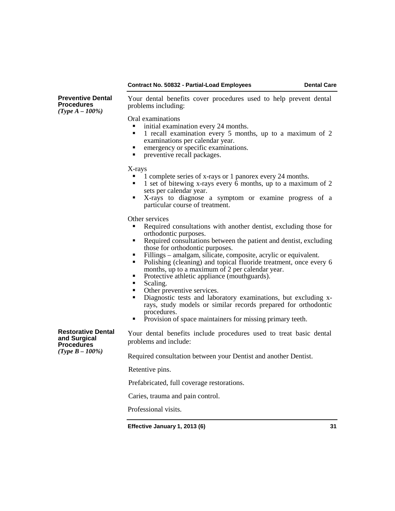**Preventive Dental Procedures**  *(Type A – 100%)*

Your dental benefits cover procedures used to help prevent dental problems including:

Oral examinations

- initial examination every 24 months.
- 1 recall examination every 5 months, up to a maximum of 2
- emergency or specific examinations.
- **•** preventive recall packages.

- $X$ -rays<br> $\blacksquare$  1 complete series of x-rays or 1 panorex every 24 months.
	- 1 set of bitewing x-rays every  $\vec{6}$  months, up to a maximum of 2 sets per calendar year.
- X-rays to diagnose a symptom or examine progress of a particular course of treatment.

Other services

- Required consultations with another dentist, excluding those for orthodontic purposes.
- $\blacksquare$  Required consultations between the patient and dentist, excluding those for orthodontic purposes.
- Fillings amalgam, silicate, composite, acrylic or equivalent.<br>Polishing (cleaning) and topical fluoride treatment, once eve
- Polishing (cleaning) and topical fluoride treatment, once every 6 months, up to a maximum of 2 per calendar year.
- Protective athletic appliance (mouthguards).
- 
- Scaling.<br>• Other preventive services.
- Diagnostic tests and laboratory examinations, but excluding xrays, study models or similar records prepared for orthodontic procedures.
- **Provision of space maintainers for missing primary teeth.**

**Restorative Dental and Surgical Procedures**  *(Type B – 100%)*

Your dental benefits include procedures used to treat basic dental problems and include:

Required consultation between your Dentist and another Dentist.

Retentive pins.

Prefabricated, full coverage restorations.

Caries, trauma and pain control.

Professional visits.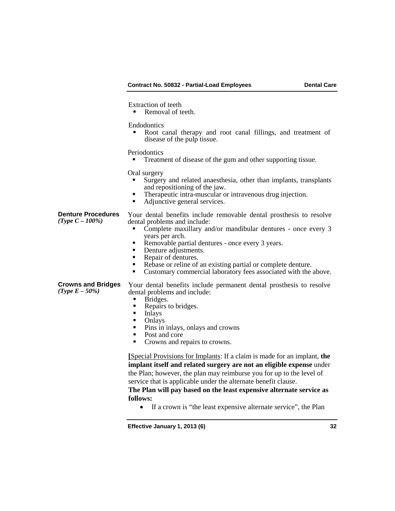Extraction of teeth

Removal of teeth.

Endodontics

 Root canal therapy and root canal fillings, and treatment of disease of the pulp tissue.

Periodontics

**Treatment of disease of the gum and other supporting tissue.** 

Oral surgery

- Surgery and related anaesthesia, other than implants, transplants
- Therapeutic intra-muscular or intravenous drug injection.<br>• Adjunctive general services
- Adjunctive general services.

**Denture Procedures** Your dental benefits include removable dental prosthesis to resolve dental problems and include:

- Complete maxillary and/or mandibular dentures once every 3 years per arch.
- Removable partial dentures once every 3 years.
- Denture adjustments.<br>• Repair of dentures.
- 
- Rebase or reline of an existing partial or complete denture.
- Customary commercial laboratory fees associated with the above.

**Crowns and Bridges**

Your dental benefits include permanent dental prosthesis to resolve dental problems and include:

- 
- Bridges.<br>• Repairs to bridges.<br>• Inlays<br>• Onlays
- 
- Onlays<br>• Pins in
- Pins in inlays, onlays and crowns
- Post and core<br> $\Gamma$  Crowns and re
- Crowns and repairs to crowns.

**[**Special Provisions for Implants: If a claim is made for an implant, **the implant itself and related surgery are not an eligible expense** under the Plan; however, the plan may reimburse you for up to the level of service that is applicable under the alternate benefit clause.

**The Plan will pay based on the least expensive alternate service as follows:**

• If a crown is "the least expensive alternate service", the Plan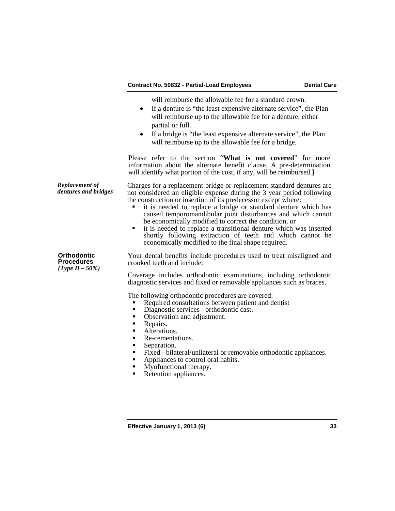will reimburse the allowable fee for a standard crown.

- If a denture is "the least expensive alternate service", the Plan will reimburse up to the allowable fee for a denture, either partial or full.
- If a bridge is "the least expensive alternate service", the Plan will reimburse up to the allowable fee for a bridge.

Please refer to the section "**What is not covered**" for more information about the alternate benefit clause. A pre-determination will identify what portion of the cost, if any, will be reimbursed.**]**

*Replacement of dentures and bridges* Charges for a replacement bridge or replacement standard dentures are not considered an eligible expense during the 3 year period following the construction or insertion of its predecessor except where:

- it is needed to replace a bridge or standard denture which has caused temporomandibular joint disturbances and which cannot
- it is needed to replace a transitional denture which was inserted shortly following extraction of teeth and which cannot be economically modified to the final shape required.

**Orthodontic Procedures** *(Type D – 50%)*

Your dental benefits include procedures used to treat misaligned and crooked teeth and include:

Coverage includes orthodontic examinations, including orthodontic diagnostic services and fixed or removable appliances such as braces.

The following orthodontic procedures are covered:

- Required consultations between patient and dentist<br>Diagnostic services orthodontic cast
- Diagnostic services orthodontic cast.<br>• Observation and adjustment.<br>• Repairs
- 
- **Repairs.**<br>Alteration
- Alterations.<br>Re-cemental
- Re-cementations.<br>
Separation.<br>
Fixed bilateral/u
- 
- Fixed bilateral/unilateral or removable orthodontic appliances.
- Appliances to control oral habits.
- **Myofunctional therapy.**
- Retention appliances.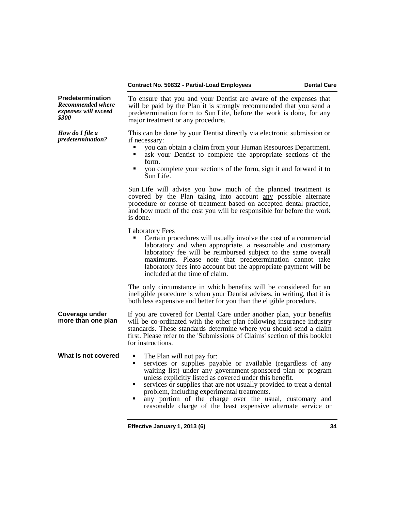| <b>Predetermination</b><br><b>Recommended where</b><br>expenses will exceed<br>\$300 | To ensure that you and your Dentist are aware of the expenses that<br>will be paid by the Plan it is strongly recommended that you send a<br>predetermination form to Sun Life, before the work is done, for any<br>major treatment or any procedure.                                                                                                                                                                                                                                        |  |
|--------------------------------------------------------------------------------------|----------------------------------------------------------------------------------------------------------------------------------------------------------------------------------------------------------------------------------------------------------------------------------------------------------------------------------------------------------------------------------------------------------------------------------------------------------------------------------------------|--|
| How do I file a<br>predetermination?                                                 | This can be done by your Dentist directly via electronic submission or<br>if necessary:<br>you can obtain a claim from your Human Resources Department.<br>ask your Dentist to complete the appropriate sections of the<br>٠<br>form.<br>you complete your sections of the form, sign it and forward it to<br>٠<br>Sun Life.                                                                                                                                                                 |  |
|                                                                                      | Sun Life will advise you how much of the planned treatment is<br>covered by the Plan taking into account any possible alternate<br>procedure or course of treatment based on accepted dental practice,<br>and how much of the cost you will be responsible for before the work<br>is done.                                                                                                                                                                                                   |  |
|                                                                                      | <b>Laboratory Fees</b><br>Certain procedures will usually involve the cost of a commercial<br>laboratory and when appropriate, a reasonable and customary<br>laboratory fee will be reimbursed subject to the same overall<br>maximums. Please note that predetermination cannot take<br>laboratory fees into account but the appropriate payment will be<br>included at the time of claim.                                                                                                  |  |
|                                                                                      | The only circumstance in which benefits will be considered for an<br>ineligible procedure is when your Dentist advises, in writing, that it is<br>both less expensive and better for you than the eligible procedure.                                                                                                                                                                                                                                                                        |  |
| Coverage under<br>more than one plan                                                 | If you are covered for Dental Care under another plan, your benefits<br>will be co-ordinated with the other plan following insurance industry<br>standards. These standards determine where you should send a claim<br>first. Please refer to the 'Submissions of Claims' section of this booklet<br>for instructions.                                                                                                                                                                       |  |
| What is not covered                                                                  | The Plan will not pay for:<br>٠<br>services or supplies payable or available (regardless of any<br>Ξ<br>waiting list) under any government-sponsored plan or program<br>unless explicitly listed as covered under this benefit.<br>services or supplies that are not usually provided to treat a dental<br>П<br>problem, including experimental treatments.<br>any portion of the charge over the usual, customary and<br>٠<br>reasonable charge of the least expensive alternate service or |  |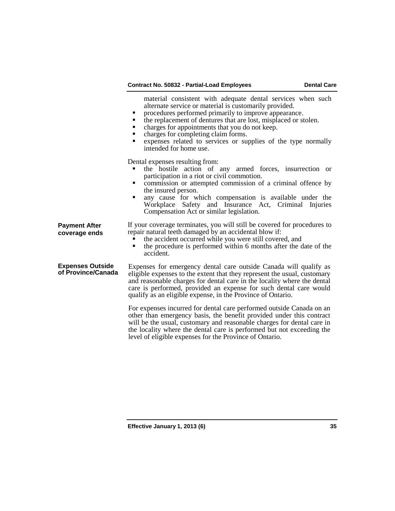material consistent with adequate dental services when such alternate service or material is customarily provided.

- 
- $\blacksquare$  the replacement of dentures that are lost, misplaced or stolen.
- charges for appointments that you do not keep.<br>• charges for completing claim forms.<br>• expenses related to services or sumplies of 1
- 
- expenses related to services or supplies of the type normally intended for home use.

Dental expenses resulting from:

**Payment After coverage ends**

- the hostile action of any armed forces, insurrection or participation in a riot or civil commotion.
- $\blacksquare$  commission or attempted commission of a criminal offence by
- the insured person.<br>
 any cause for which compensation is available under the Workplace Safety and Insurance Act, Criminal Injuries Compensation Act or similar legislation.

If your coverage terminates, you will still be covered for procedures to repair natural teeth damaged by an accidental blow if:

- The accident occurred while you were still covered, and the procedure is performed within 6 months after the d
- the procedure is performed within 6 months after the date of the accident.

**Expenses Outside**  Expenses for emergency dental care outside Canada will qualify as eligible expenses to the extent that they represent the usual, customary and reasonable charges for dental care in the locality where the dental care is performed, provided an expense for such dental care would qualify as an eligible expense, in the Province of Ontario.

> For expenses incurred for dental care performed outside Canada on an other than emergency basis, the benefit provided under this contract will be the usual, customary and reasonable charges for dental care in the locality where the dental care is performed but not exceeding the level of eligible expenses for the Province of Ontario.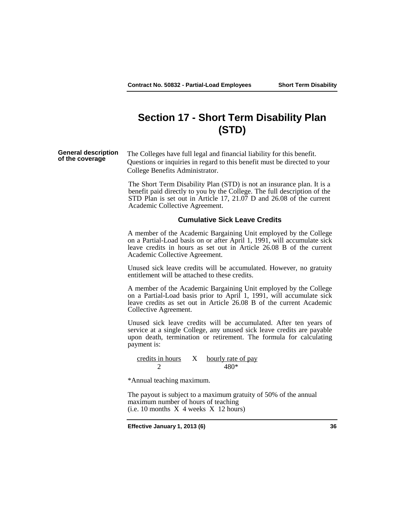# **Section 17 - Short Term Disability Plan (STD)**

# **General description**

The Colleges have full legal and financial liability for this benefit. Questions or inquiries in regard to this benefit must be directed to your College Benefits Administrator.

The Short Term Disability Plan (STD) is not an insurance plan. It is a benefit paid directly to you by the College. The full description of the STD Plan is set out in Article 17, 21.07 D and 26.08 of the current Academic Collective Agreement.

### **Cumulative Sick Leave Credits**

A member of the Academic Bargaining Unit employed by the College on a Partial-Load basis on or after April 1, 1991, will accumulate sick leave credits in hours as set out in Article 26.08 B of the current Academic Collective Agreement.

Unused sick leave credits will be accumulated. However, no gratuity entitlement will be attached to these credits.

A member of the Academic Bargaining Unit employed by the College on a Partial-Load basis prior to April 1, 1991, will accumulate sick leave credits as set out in Article 26.08 B of the current Academic Collective Agreement.

Unused sick leave credits will be accumulated. After ten years of service at a single College, any unused sick leave credits are payable upon death, termination or retirement. The formula for calculating payment is:

credits in hours X hourly rate of pay 2 480\*

\*Annual teaching maximum.

The payout is subject to a maximum gratuity of 50% of the annual maximum number of hours of teaching  $(i.e. 10 months X 4 weeks X 12 hours)$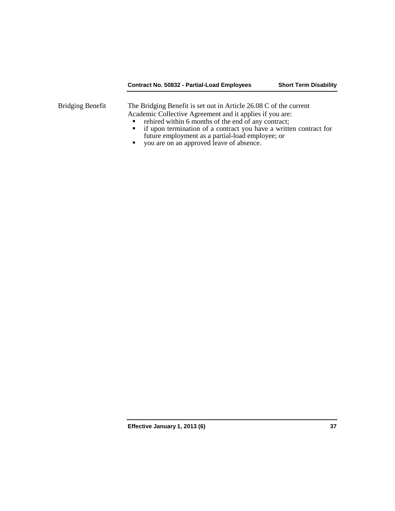### **Contract No. 50832 - Partial-Load Employees Short Term Disability**

Bridging Benefit The Bridging Benefit is set out in Article 26.08 C of the current Academic Collective Agreement and it applies if you are:<br> **Particular in Solution** 6 months of the end of any contract:

- rehired within 6 months of the end of any contract;<br>• if upon termination of a contract you have a writte
- if upon termination of a contract you have a written contract for future employment as a partial-load employee; or
- **v** you are on an approved leave of absence.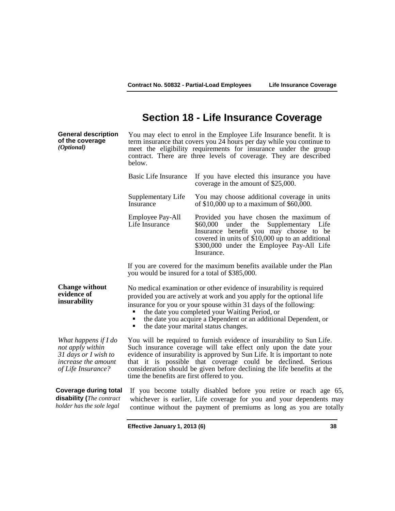## **Section 18 - Life Insurance Coverage**

**General description of the coverage** *(Optional)* You may elect to enrol in the Employee Life Insurance benefit. It is term insurance that covers you 24 hours per day while you continue to meet the eligibility requirements for insurance under the group contract. There are three levels of coverage. They are described below. Basic Life Insurance If you have elected this insurance you have coverage in the amount of \$25,000. Supplementary Life Insurance You may choose additional coverage in units of \$10,000 up to a maximum of \$60,000. Employee Pay-All Life Insurance Provided you have chosen the maximum of \$60,000 under the Supplementary Life Insurance benefit you may choose to be covered in units of \$10,000 up to an additional \$300,000 under the Employee Pay-All Life Insurance. If you are covered for the maximum benefits available under the Plan you would be insured for a total of \$385,000. **Change without evidence of insurability** No medical examination or other evidence of insurability is required provided you are actively at work and you apply for the optional life insurance for you or your spouse within 31 days of the following: the date you completed your Waiting Period, or ■ the date you acquire a Dependent or an additional Dependent, or<br>■ the date your marital status changes. the date your marital status changes.

*What happens if I do not apply within 31 days or I wish to increase the amount of Life Insurance?*

You will be required to furnish evidence of insurability to Sun Life. Such insurance coverage will take effect only upon the date your evidence of insurability is approved by Sun Life. It is important to note that it is possible that coverage could be declined. Serious consideration should be given before declining the life benefits at the time the benefits are first offered to you.

**Coverage during total disability (***The contract holder has the sole legal*  If you become totally disabled before you retire or reach age 65, whichever is earlier, Life coverage for you and your dependents may continue without the payment of premiums as long as you are totally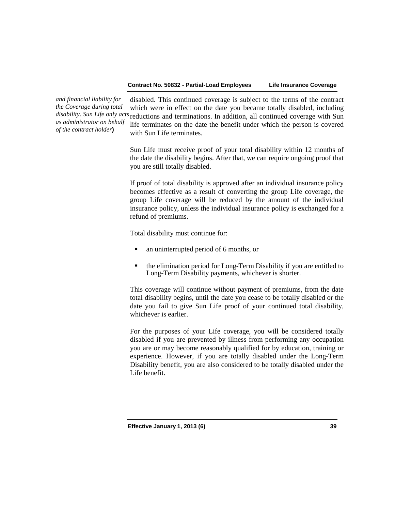*and financial liability for the Coverage during total as administrator on behalf of the contract holder***)**

*disability. Sun Life only acts*  reductions and terminations. In addition, all continued coverage with Sun disabled. This continued coverage is subject to the terms of the contract which were in effect on the date you became totally disabled, including life terminates on the date the benefit under which the person is covered with Sun Life terminates.

> Sun Life must receive proof of your total disability within 12 months of the date the disability begins. After that, we can require ongoing proof that you are still totally disabled.

> If proof of total disability is approved after an individual insurance policy becomes effective as a result of converting the group Life coverage, the group Life coverage will be reduced by the amount of the individual insurance policy, unless the individual insurance policy is exchanged for a refund of premiums.

Total disability must continue for:

- an uninterrupted period of 6 months, or
- the elimination period for Long-Term Disability if you are entitled to Long-Term Disability payments, whichever is shorter.

This coverage will continue without payment of premiums, from the date total disability begins, until the date you cease to be totally disabled or the date you fail to give Sun Life proof of your continued total disability, whichever is earlier.

For the purposes of your Life coverage, you will be considered totally disabled if you are prevented by illness from performing any occupation you are or may become reasonably qualified for by education, training or experience. However, if you are totally disabled under the Long-Term Disability benefit, you are also considered to be totally disabled under the Life benefit.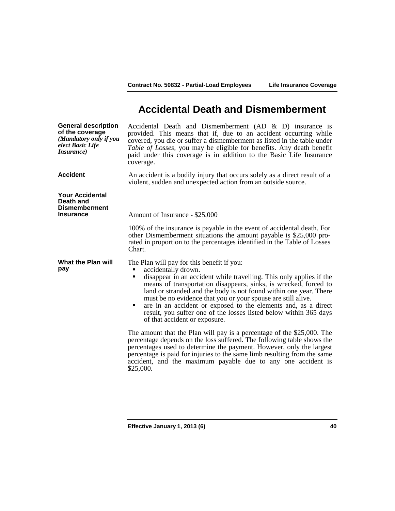# **Accidental Death and Dismemberment**

| <b>General description</b><br>of the coverage<br>(Mandatory only if you<br>elect Basic Life<br><i>Insurance</i> ) | Accidental Death and Dismemberment (AD $\&$ D) insurance is<br>provided. This means that if, due to an accident occurring while<br>covered, you die or suffer a dismemberment as listed in the table under<br>Table of Losses, you may be eligible for benefits. Any death benefit<br>paid under this coverage is in addition to the Basic Life Insurance<br>coverage.                                                                                                                                                              |
|-------------------------------------------------------------------------------------------------------------------|-------------------------------------------------------------------------------------------------------------------------------------------------------------------------------------------------------------------------------------------------------------------------------------------------------------------------------------------------------------------------------------------------------------------------------------------------------------------------------------------------------------------------------------|
| <b>Accident</b>                                                                                                   | An accident is a bodily injury that occurs solely as a direct result of a<br>violent, sudden and unexpected action from an outside source.                                                                                                                                                                                                                                                                                                                                                                                          |
| <b>Your Accidental</b><br>Death and<br><b>Dismemberment</b><br><b>Insurance</b>                                   | Amount of Insurance - \$25,000                                                                                                                                                                                                                                                                                                                                                                                                                                                                                                      |
|                                                                                                                   | 100% of the insurance is payable in the event of accidental death. For<br>other Dismemberment situations the amount payable is \$25,000 pro-<br>rated in proportion to the percentages identified in the Table of Losses<br>Chart.                                                                                                                                                                                                                                                                                                  |
| What the Plan will<br>pay                                                                                         | The Plan will pay for this benefit if you:<br>accidentally drown.<br>disappear in an accident while travelling. This only applies if the<br>п<br>means of transportation disappears, sinks, is wrecked, forced to<br>land or stranded and the body is not found within one year. There<br>must be no evidence that you or your spouse are still alive.<br>are in an accident or exposed to the elements and, as a direct<br>٠<br>result, you suffer one of the losses listed below within 365 days<br>of that accident or exposure. |
|                                                                                                                   | The amount that the Plan will pay is a percentage of the \$25,000. The<br>percentage depends on the loss suffered. The following table shows the<br>percentages used to determine the payment. However, only the largest<br>percentage is paid for injuries to the same limb resulting from the same<br>accident, and the maximum payable due to any one accident is<br>\$25,000.                                                                                                                                                   |
|                                                                                                                   |                                                                                                                                                                                                                                                                                                                                                                                                                                                                                                                                     |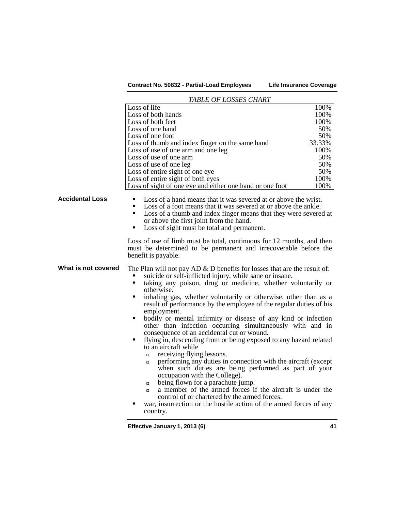|                        | TABLE OF LOSSES CHART                                                                                                                                                                                                                                                                                                                                                                                                                                                                                                                                                                                                                                                                                                                                                                                                                                                                                                                                                                                                                                                                                                                        |        |
|------------------------|----------------------------------------------------------------------------------------------------------------------------------------------------------------------------------------------------------------------------------------------------------------------------------------------------------------------------------------------------------------------------------------------------------------------------------------------------------------------------------------------------------------------------------------------------------------------------------------------------------------------------------------------------------------------------------------------------------------------------------------------------------------------------------------------------------------------------------------------------------------------------------------------------------------------------------------------------------------------------------------------------------------------------------------------------------------------------------------------------------------------------------------------|--------|
|                        | Loss of life                                                                                                                                                                                                                                                                                                                                                                                                                                                                                                                                                                                                                                                                                                                                                                                                                                                                                                                                                                                                                                                                                                                                 | 100%   |
|                        | Loss of both hands                                                                                                                                                                                                                                                                                                                                                                                                                                                                                                                                                                                                                                                                                                                                                                                                                                                                                                                                                                                                                                                                                                                           | 100%   |
|                        | Loss of both feet                                                                                                                                                                                                                                                                                                                                                                                                                                                                                                                                                                                                                                                                                                                                                                                                                                                                                                                                                                                                                                                                                                                            | 100%   |
|                        | Loss of one hand                                                                                                                                                                                                                                                                                                                                                                                                                                                                                                                                                                                                                                                                                                                                                                                                                                                                                                                                                                                                                                                                                                                             | 50%    |
|                        | Loss of one foot                                                                                                                                                                                                                                                                                                                                                                                                                                                                                                                                                                                                                                                                                                                                                                                                                                                                                                                                                                                                                                                                                                                             | 50%    |
|                        | Loss of thumb and index finger on the same hand                                                                                                                                                                                                                                                                                                                                                                                                                                                                                                                                                                                                                                                                                                                                                                                                                                                                                                                                                                                                                                                                                              | 33.33% |
|                        | Loss of use of one arm and one leg                                                                                                                                                                                                                                                                                                                                                                                                                                                                                                                                                                                                                                                                                                                                                                                                                                                                                                                                                                                                                                                                                                           | 100%   |
|                        | Loss of use of one arm                                                                                                                                                                                                                                                                                                                                                                                                                                                                                                                                                                                                                                                                                                                                                                                                                                                                                                                                                                                                                                                                                                                       | 50%    |
|                        | Loss of use of one leg                                                                                                                                                                                                                                                                                                                                                                                                                                                                                                                                                                                                                                                                                                                                                                                                                                                                                                                                                                                                                                                                                                                       | 50%    |
|                        | Loss of entire sight of one eye                                                                                                                                                                                                                                                                                                                                                                                                                                                                                                                                                                                                                                                                                                                                                                                                                                                                                                                                                                                                                                                                                                              | 50%    |
|                        | Loss of entire sight of both eyes                                                                                                                                                                                                                                                                                                                                                                                                                                                                                                                                                                                                                                                                                                                                                                                                                                                                                                                                                                                                                                                                                                            | 100%   |
|                        | Loss of sight of one eye and either one hand or one foot                                                                                                                                                                                                                                                                                                                                                                                                                                                                                                                                                                                                                                                                                                                                                                                                                                                                                                                                                                                                                                                                                     | 100%   |
| <b>Accidental Loss</b> | Loss of a hand means that it was severed at or above the wrist.<br>$\blacksquare$<br>Loss of a foot means that it was severed at or above the ankle.<br>٠<br>Loss of a thumb and index finger means that they were severed at<br>٠<br>or above the first joint from the hand.<br>Loss of sight must be total and permanent.<br>٠                                                                                                                                                                                                                                                                                                                                                                                                                                                                                                                                                                                                                                                                                                                                                                                                             |        |
|                        | Loss of use of limb must be total, continuous for 12 months, and then<br>must be determined to be permanent and irrecoverable before the<br>benefit is payable.                                                                                                                                                                                                                                                                                                                                                                                                                                                                                                                                                                                                                                                                                                                                                                                                                                                                                                                                                                              |        |
| What is not covered    | The Plan will not pay AD $\&$ D benefits for losses that are the result of:<br>suicide or self-inflicted injury, while sane or insane.<br>taking any poison, drug or medicine, whether voluntarily or<br>Ξ<br>otherwise.<br>inhaling gas, whether voluntarily or otherwise, other than as a<br>٠<br>result of performance by the employee of the regular duties of his<br>employment.<br>bodily or mental infirmity or disease of any kind or infection<br>٠<br>other than infection occurring simultaneously with and in<br>consequence of an accidental cut or wound.<br>flying in, descending from or being exposed to any hazard related<br>٠<br>to an aircraft while<br>receiving flying lessons.<br>$\Box$<br>performing any duties in connection with the aircraft (except<br>$\Box$<br>when such duties are being performed as part of your<br>occupation with the College).<br>being flown for a parachute jump.<br>$\Box$<br>a member of the armed forces if the aircraft is under the<br>$\Box$<br>control of or chartered by the armed forces.<br>war, insurrection or the hostile action of the armed forces of any<br>country. |        |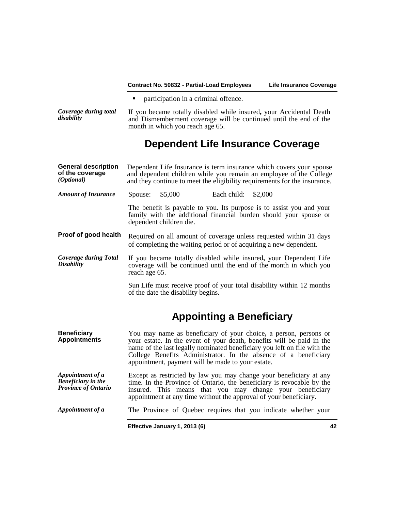• participation in a criminal offence.

*Coverage during total*  **Coverage during total** If you became totally disabled while insured, your Accidental Death and Dismemberment coverage will be continued until the end of the month in which you reach age 65.

# **Dependent Life Insurance Coverage**

| <b>General description</b><br>of the coverage<br>( <i>Optional</i> )        |               |                                    |                                                   | Dependent Life Insurance is term insurance which covers your spouse<br>and dependent children while you remain an employee of the College<br>and they continue to meet the eligibility requirements for the insurance.                                                                   |    |
|-----------------------------------------------------------------------------|---------------|------------------------------------|---------------------------------------------------|------------------------------------------------------------------------------------------------------------------------------------------------------------------------------------------------------------------------------------------------------------------------------------------|----|
| <b>Amount of Insurance</b>                                                  | Spouse:       | \$5,000                            | Each child:                                       | \$2,000                                                                                                                                                                                                                                                                                  |    |
|                                                                             |               | dependent children die.            |                                                   | The benefit is payable to you. Its purpose is to assist you and your<br>family with the additional financial burden should your spouse or                                                                                                                                                |    |
| Proof of good health                                                        |               |                                    |                                                   | Required on all amount of coverage unless requested within 31 days<br>of completing the waiting period or of acquiring a new dependent.                                                                                                                                                  |    |
| <b>Coverage during Total</b><br><b>Disability</b>                           | reach age 65. |                                    |                                                   | If you became totally disabled while insured, your Dependent Life<br>coverage will be continued until the end of the month in which you                                                                                                                                                  |    |
|                                                                             |               | of the date the disability begins. |                                                   | Sun Life must receive proof of your total disability within 12 months                                                                                                                                                                                                                    |    |
|                                                                             |               |                                    | <b>Appointing a Beneficiary</b>                   |                                                                                                                                                                                                                                                                                          |    |
| <b>Beneficiary</b><br><b>Appointments</b>                                   |               |                                    | appointment, payment will be made to your estate. | You may name as beneficiary of your choice, a person, persons or<br>your estate. In the event of your death, benefits will be paid in the<br>name of the last legally nominated beneficiary you left on file with the<br>College Benefits Administrator. In the absence of a beneficiary |    |
| Appointment of a<br><b>Beneficiary</b> in the<br><b>Province of Ontario</b> |               |                                    |                                                   | Except as restricted by law you may change your beneficiary at any<br>time. In the Province of Ontario, the beneficiary is revocable by the<br>insured. This means that you may change your beneficiary<br>appointment at any time without the approval of your beneficiary.             |    |
| Appointment of a                                                            |               |                                    |                                                   | The Province of Quebec requires that you indicate whether your                                                                                                                                                                                                                           |    |
|                                                                             |               | Effective January 1, 2013 (6)      |                                                   |                                                                                                                                                                                                                                                                                          | 42 |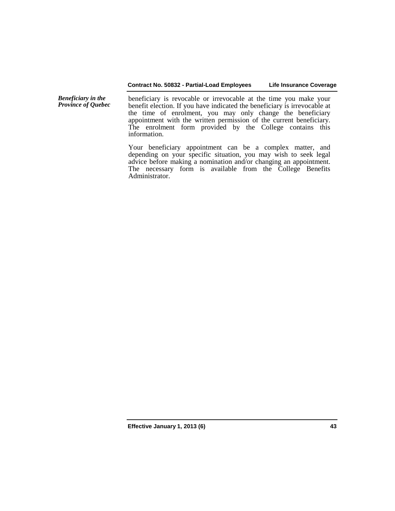*Beneficiary in the*  beneficiary is revocable or irrevocable at the time you make your benefit election. If you have indicated the beneficiary is irrevocable at the time of enrolment, you may only change the beneficiary appointment with the written permission of the current beneficiary. The enrolment form provided by the College contains this information.

> Your beneficiary appointment can be a complex matter, and depending on your specific situation, you may wish to seek legal advice before making a nomination and/or changing an appointment. The necessary form is available from the College Benefits Administrator.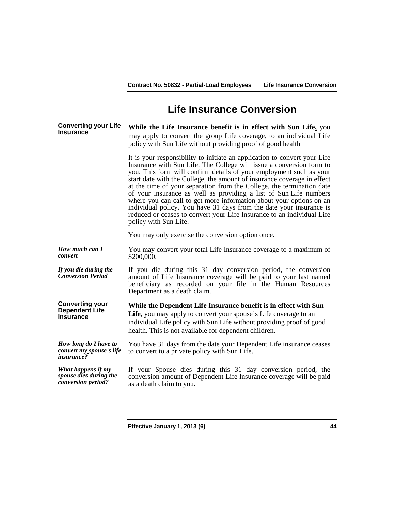# **Life Insurance Conversion**

**Converting your Life Insurance While the Life Insurance benefit is in effect with Sun Life,** you may apply to convert the group Life coverage, to an individual Life policy with Sun Life without providing proof of good health

> It is your responsibility to initiate an application to convert your Life Insurance with Sun Life. The College will issue a conversion form to you. This form will confirm details of your employment such as your start date with the College, the amount of insurance coverage in effect at the time of your separation from the College, the termination date of your insurance as well as providing a list of Sun Life numbers where you can call to get more information about your options on an individual policy. You have 31 days from the date your insurance is reduced or ceases to convert your Life Insurance to an individual Life policy with Sun Life.

You may only exercise the conversion option once.

*How much can I convert* You may convert your total Life Insurance coverage to a maximum of \$200,000.

*If you die during the*  If you die during the If you die during this 31 day conversion period, the conversion Conversion Period amount of Life Insurance coverage will be paid to your last named beneficiary as recorded on your file in the Human Resources Department as a death claim.

> **While the Dependent Life Insurance benefit is in effect with Sun**  Life, you may apply to convert your spouse's Life coverage to an individual Life policy with Sun Life without providing proof of good health. This is not available for dependent children.

*How long do I have to convert my spouse's life insurance?* You have 31 days from the date your Dependent Life insurance ceases to convert to a private policy with Sun Life.

*What happens if my spouse dies during the conversion period?* If your Spouse dies during this 31 day conversion period, the conversion amount of Dependent Life Insurance coverage will be paid as a death claim to you.

**Converting your Dependent Life Insurance**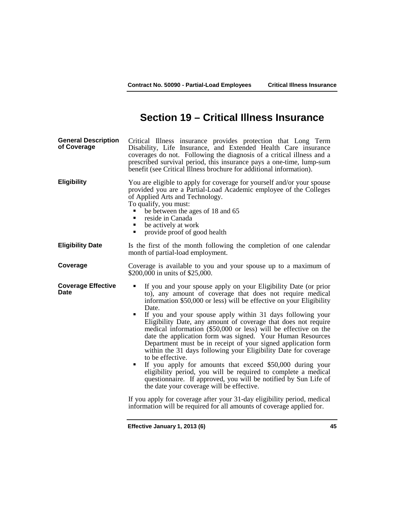# **Section 19 – Critical Illness Insurance**

| <b>Eligibility</b><br>of Applied Arts and Technology.<br>To qualify, you must:<br>be between the ages of 18 and 65<br>reside in Canada<br>be actively at work<br>٠<br>provide proof of good health<br>٠<br><b>Eligibility Date</b><br>month of partial-load employment.<br>Coverage<br>\$200,000 in units of \$25,000.<br><b>Coverage Effective</b><br>Date<br>Date.<br>٠<br>to be effective.<br>the date your coverage will be effective.<br>information will be required for all amounts of coverage applied for. | <b>General Description</b><br>of Coverage | Critical Illness insurance provides protection that Long Term<br>Disability, Life Insurance, and Extended Health Care insurance<br>coverages do not. Following the diagnosis of a critical illness and a<br>prescribed survival period, this insurance pays a one-time, lump-sum<br>benefit (see Critical Illness brochure for additional information).                                                                                                                                                                                                                                                                                                                                                                                                                                                                                                                               |
|---------------------------------------------------------------------------------------------------------------------------------------------------------------------------------------------------------------------------------------------------------------------------------------------------------------------------------------------------------------------------------------------------------------------------------------------------------------------------------------------------------------------|-------------------------------------------|---------------------------------------------------------------------------------------------------------------------------------------------------------------------------------------------------------------------------------------------------------------------------------------------------------------------------------------------------------------------------------------------------------------------------------------------------------------------------------------------------------------------------------------------------------------------------------------------------------------------------------------------------------------------------------------------------------------------------------------------------------------------------------------------------------------------------------------------------------------------------------------|
|                                                                                                                                                                                                                                                                                                                                                                                                                                                                                                                     |                                           | You are eligible to apply for coverage for yourself and/or your spouse<br>provided you are a Partial-Load Academic employee of the Colleges                                                                                                                                                                                                                                                                                                                                                                                                                                                                                                                                                                                                                                                                                                                                           |
|                                                                                                                                                                                                                                                                                                                                                                                                                                                                                                                     |                                           | Is the first of the month following the completion of one calendar                                                                                                                                                                                                                                                                                                                                                                                                                                                                                                                                                                                                                                                                                                                                                                                                                    |
|                                                                                                                                                                                                                                                                                                                                                                                                                                                                                                                     |                                           | Coverage is available to you and your spouse up to a maximum of                                                                                                                                                                                                                                                                                                                                                                                                                                                                                                                                                                                                                                                                                                                                                                                                                       |
|                                                                                                                                                                                                                                                                                                                                                                                                                                                                                                                     |                                           | If you and your spouse apply on your Eligibility Date (or prior<br>to), any amount of coverage that does not require medical<br>information \$50,000 or less) will be effective on your Eligibility<br>If you and your spouse apply within 31 days following your<br>Eligibility Date, any amount of coverage that does not require<br>medical information (\$50,000 or less) will be effective on the<br>date the application form was signed. Your Human Resources<br>Department must be in receipt of your signed application form<br>within the 31 days following your Eligibility Date for coverage<br>If you apply for amounts that exceed \$50,000 during your<br>eligibility period, you will be required to complete a medical<br>questionnaire. If approved, you will be notified by Sun Life of<br>If you apply for coverage after your 31-day eligibility period, medical |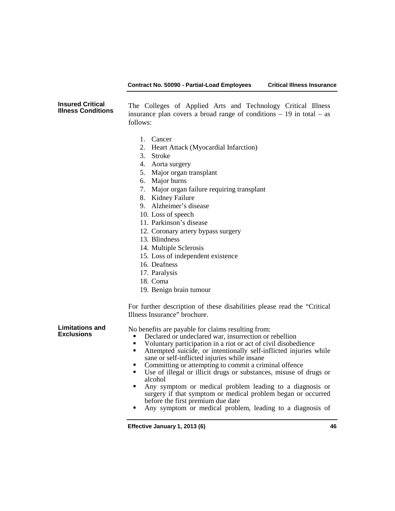### **Contract No. 50090 - Partial-Load Employees Critical Illness Insurance**

### **Insured Critical**  The Colleges of Applied Arts and Technology Critical Illness insurance plan covers a broad range of conditions  $-19$  in total  $-$  as follows:

- 1. Cancer
- 2. Heart Attack (Myocardial Infarction)
- 3. Stroke
- 4. Aorta surgery
- 5. Major organ transplant
- 6. Major burns
- 7. Major organ failure requiring transplant
- 8. Kidney Failure
- 9. Alzheimer's disease
- 10. Loss of speech
- 11. Parkinson's disease
- 12. Coronary artery bypass surgery
- 13. Blindness
- 14. Multiple Sclerosis
- 15. Loss of independent existence
- 16. Deafness
- 17. Paralysis
- 18. Coma
- 19. Benign brain tumour

For further description of these disabilities please read the "Critical Illness Insurance" brochure.

**Limitations and** 

**Example 5** No benefits are payable for claims resulting from:

- Declared or undeclared war, insurrection or rebellion
- Voluntary participation in a riot or act of civil disobedience<br>Attempted suicide or intentionally self-inflicted injuries
- Attempted suicide, or intentionally self-inflicted injuries while sane or self-inflicted injuries while insane<br>Committing or attempting to commit a criminal offence
- 
- $\blacksquare$  Use of illegal or illicit drugs or substances, misuse of drugs or alcohol
- Any symptom or medical problem leading to a diagnosis or surgery if that symptom or medical problem began or occurred before the first premium due date
- Any symptom or medical problem, leading to a diagnosis of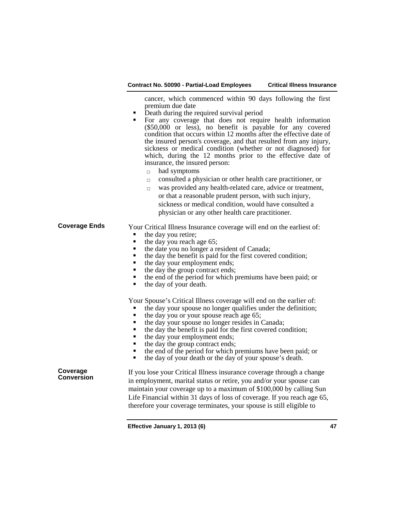| Contract No. 50090 - Partial-Load Employees | <b>Critical Illness Insurance</b> |
|---------------------------------------------|-----------------------------------|
|                                             |                                   |

cancer, which commenced within 90 days following the first premium due date<br>Death during the required survival period

- 
- For any coverage that does not require health information (\$50,000 or less), no benefit is payable for any covered condition that occurs within 12 months after the effective date of the insured person's coverage, and that resulted from any injury, sickness or medical condition (whether or not diagnosed) for which, during the 12 months prior to the effective date of insurance, the insured person:
	- $\Box$  had symptoms
	- $\Box$  consulted a physician or other health care practitioner, or
	- $\Box$  was provided any health-related care, advice or treatment, or that a reasonable prudent person, with such injury, sickness or medical condition, would have consulted a physician or any other health care practitioner.

### **Coverage Ends** Your Critical Illness Insurance coverage will end on the earliest of:

- 
- the day you retire;<br>• the day you reach age 65;
- $\blacksquare$  the date you no longer a resident of Canada;
- the day the benefit is paid for the first covered condition;
- the day your employment ends;<br>• the day the group contract ends;
- 
- the end of the period for which premiums have been paid; or the day of your death
- the day of your death.

Your Spouse's Critical Illness coverage will end on the earlier of:

- the day your spouse no longer qualifies under the definition;<br>
 the day you or your spouse reach age 65;<br>
 the day your spouse no longer resides in Canada:
- 
- the day your spouse no longer resides in Canada;<br>the day the benefit is paid for the first covered co-
- the day the benefit is paid for the first covered condition;<br>
 day your employment ends;<br>
 the day the group contract orde;
- 
- $\blacksquare$  the day the group contract ends;<br> $\blacksquare$  the end of the period for which r
- the end of the period for which premiums have been paid; or the day of your death or the day of your spouse's death
- the day of your death or the day of your spouse's death.

**Coverage** 

If you lose your Critical Illness insurance coverage through a change in employment, marital status or retire, you and/or your spouse can maintain your coverage up to a maximum of \$100,000 by calling Sun Life Financial within 31 days of loss of coverage. If you reach age 65, therefore your coverage terminates, your spouse is still eligible to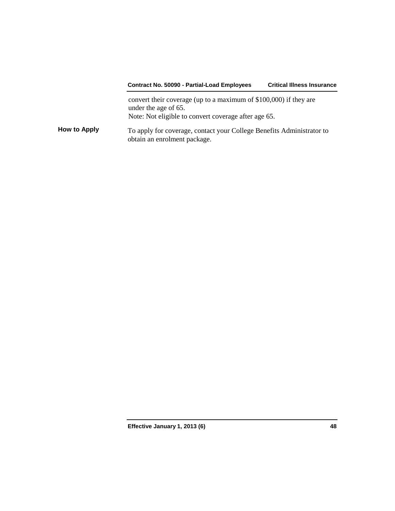# **Contract No. 50090 - Partial-Load Employees Critical Illness Insurance** convert their coverage (up to a maximum of \$100,000) if they are under the age of 65. Note: Not eligible to convert coverage after age 65. **How to Apply** To apply for coverage, contact your College Benefits Administrator to obtain an enrolment package.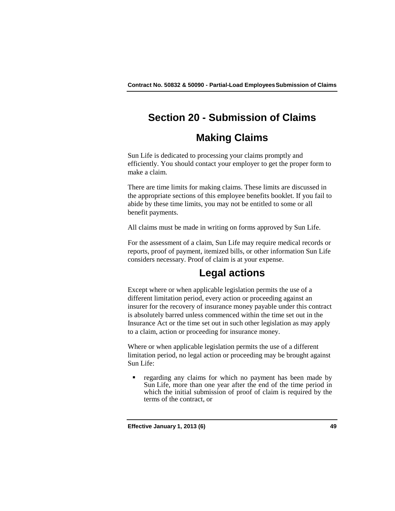# **Section 20 - Submission of Claims**

# **Making Claims**

Sun Life is dedicated to processing your claims promptly and efficiently. You should contact your employer to get the proper form to make a claim.

There are time limits for making claims. These limits are discussed in the appropriate sections of this employee benefits booklet. If you fail to abide by these time limits, you may not be entitled to some or all benefit payments.

All claims must be made in writing on forms approved by Sun Life.

For the assessment of a claim, Sun Life may require medical records or reports, proof of payment, itemized bills, or other information Sun Life considers necessary. Proof of claim is at your expense.

# **Legal actions**

Except where or when applicable legislation permits the use of a different limitation period, every action or proceeding against an insurer for the recovery of insurance money payable under this contract is absolutely barred unless commenced within the time set out in the Insurance Act or the time set out in such other legislation as may apply to a claim, action or proceeding for insurance money.

Where or when applicable legislation permits the use of a different limitation period, no legal action or proceeding may be brought against Sun Life:

 regarding any claims for which no payment has been made by Sun Life, more than one year after the end of the time period in which the initial submission of proof of claim is required by the terms of the contract, or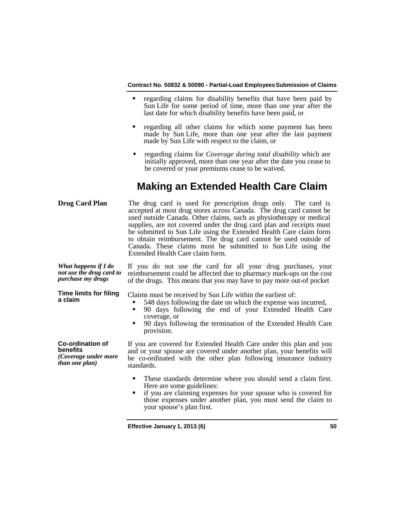- regarding claims for disability benefits that have been paid by Sun Life for some period of time, more than one year after the last date for which disability benefits have been paid, or
- **regarding all other claims for which some payment has been** made by Sun Life, more than one year after the last payment made by Sun Life with respect to the claim, or
- regarding claims for *Coverage during total disability* which are initially approved, more than one year after the date you cease to be covered or your premiums cease to be waived.

# **Making an Extended Health Care Claim**

| <b>Drug Card Plan</b>                                                                | The drug card is used for prescription drugs only. The card is<br>accepted at most drug stores across Canada. The drug card cannot be<br>used outside Canada. Other claims, such as physiotherapy or medical<br>supplies, are not covered under the drug card plan and receipts must<br>be submitted to Sun Life using the Extended Health Care claim form<br>to obtain reimbursement. The drug card cannot be used outside of<br>Canada. These claims must be submitted to Sun Life using the<br>Extended Health Care claim form. |
|--------------------------------------------------------------------------------------|------------------------------------------------------------------------------------------------------------------------------------------------------------------------------------------------------------------------------------------------------------------------------------------------------------------------------------------------------------------------------------------------------------------------------------------------------------------------------------------------------------------------------------|
| What happens if I do<br>not use the drug card to<br>purchase my drugs                | If you do not use the card for all your drug purchases, your<br>reimbursement could be affected due to pharmacy mark-ups on the cost<br>of the drugs. This means that you may have to pay more out-of pocket                                                                                                                                                                                                                                                                                                                       |
| <b>Time limits for filing</b><br>a claim                                             | Claims must be received by Sun Life within the earliest of:<br>548 days following the date on which the expense was incurred,<br>90 days following the end of your Extended Health Care<br>п<br>coverage, or<br>90 days following the termination of the Extended Health Care<br>provision.                                                                                                                                                                                                                                        |
| <b>Co-ordination of</b><br>benefits<br>(Coverage under more<br><i>than one plan)</i> | If you are covered for Extended Health Care under this plan and you<br>and or your spouse are covered under another plan, your benefits will<br>be co-ordinated with the other plan following insurance industry<br>standards.                                                                                                                                                                                                                                                                                                     |
|                                                                                      | These standards determine where you should send a claim first.<br>٠<br>Here are some guidelines:<br>if you are claiming expenses for your spouse who is covered for<br>those expenses under another plan, you must send the claim to<br>your spouse's plan first.                                                                                                                                                                                                                                                                  |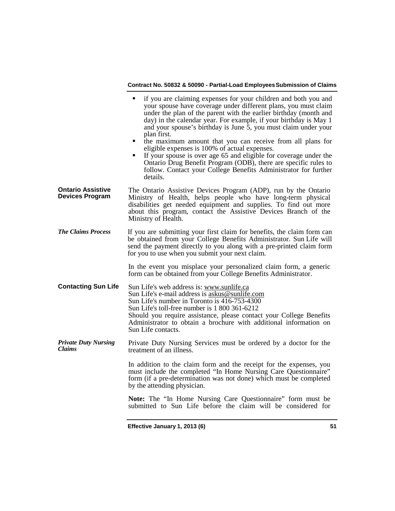|                                                    | if you are claiming expenses for your children and both you and<br>٠<br>your spouse have coverage under different plans, you must claim<br>under the plan of the parent with the earlier birthday (month and<br>day) in the calendar year. For example, if your birthday is May 1<br>and your spouse's birthday is June 5, you must claim under your<br>plan first.<br>the maximum amount that you can receive from all plans for<br>eligible expenses is 100% of actual expenses.<br>If your spouse is over age 65 and eligible for coverage under the<br>٠<br>Ontario Drug Benefit Program (ODB), there are specific rules to<br>follow. Contact your College Benefits Administrator for further<br>details. |
|----------------------------------------------------|----------------------------------------------------------------------------------------------------------------------------------------------------------------------------------------------------------------------------------------------------------------------------------------------------------------------------------------------------------------------------------------------------------------------------------------------------------------------------------------------------------------------------------------------------------------------------------------------------------------------------------------------------------------------------------------------------------------|
| <b>Ontario Assistive</b><br><b>Devices Program</b> | The Ontario Assistive Devices Program (ADP), run by the Ontario<br>Ministry of Health, helps people who have long-term physical<br>disabilities get needed equipment and supplies. To find out more<br>about this program, contact the Assistive Devices Branch of the<br>Ministry of Health.                                                                                                                                                                                                                                                                                                                                                                                                                  |
| <b>The Claims Process</b>                          | If you are submitting your first claim for benefits, the claim form can<br>be obtained from your College Benefits Administrator. Sun Life will<br>send the payment directly to you along with a pre-printed claim form<br>for you to use when you submit your next claim.                                                                                                                                                                                                                                                                                                                                                                                                                                      |
|                                                    | In the event you misplace your personalized claim form, a generic<br>form can be obtained from your College Benefits Administrator.                                                                                                                                                                                                                                                                                                                                                                                                                                                                                                                                                                            |
| <b>Contacting Sun Life</b>                         | Sun Life's web address is: www.sunlife.ca<br>Sun Life's e-mail address is askus@sunlife.com<br>Sun Life's number in Toronto is 416-753-4300<br>Sun Life's toll-free number is 1 800 361-6212<br>Should you require assistance, please contact your College Benefits<br>Administrator to obtain a brochure with additional information on<br>Sun Life contacts.                                                                                                                                                                                                                                                                                                                                                 |
| <b>Private Duty Nursing</b><br><b>Claims</b>       | Private Duty Nursing Services must be ordered by a doctor for the<br>treatment of an illness.                                                                                                                                                                                                                                                                                                                                                                                                                                                                                                                                                                                                                  |
|                                                    | In addition to the claim form and the receipt for the expenses, you<br>must include the completed "In Home Nursing Care Questionnaire"<br>form (if a pre-determination was not done) which must be completed<br>by the attending physician.                                                                                                                                                                                                                                                                                                                                                                                                                                                                    |
|                                                    | Note: The "In Home Nursing Care Questionnaire" form must be<br>submitted to Sun Life before the claim will be considered for                                                                                                                                                                                                                                                                                                                                                                                                                                                                                                                                                                                   |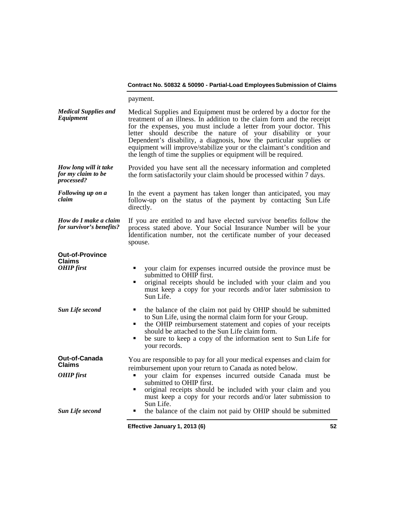payment.

| <b>Medical Supplies and</b><br>Equipment                     | Medical Supplies and Equipment must be ordered by a doctor for the<br>treatment of an illness. In addition to the claim form and the receipt<br>for the expenses, you must include a letter from your doctor. This<br>letter should describe the nature of your disability or your<br>Dependent's disability, a diagnosis, how the particular supplies or<br>equipment will improve/stabilize your or the claimant's condition and<br>the length of time the supplies or equipment will be required. |    |
|--------------------------------------------------------------|------------------------------------------------------------------------------------------------------------------------------------------------------------------------------------------------------------------------------------------------------------------------------------------------------------------------------------------------------------------------------------------------------------------------------------------------------------------------------------------------------|----|
| How long will it take<br>for my claim to be<br>processed?    | Provided you have sent all the necessary information and completed<br>the form satisfactorily your claim should be processed within 7 days.                                                                                                                                                                                                                                                                                                                                                          |    |
| Following up on a<br>claim                                   | In the event a payment has taken longer than anticipated, you may<br>follow-up on the status of the payment by contacting Sun Life<br>directly.                                                                                                                                                                                                                                                                                                                                                      |    |
| How do I make a claim<br>for survivor's benefits?            | If you are entitled to and have elected survivor benefits follow the<br>process stated above. Your Social Insurance Number will be your<br>Identification number, not the certificate number of your deceased<br>spouse.                                                                                                                                                                                                                                                                             |    |
| <b>Out-of-Province</b><br><b>Claims</b><br><b>OHIP</b> first | your claim for expenses incurred outside the province must be<br>submitted to OHIP first.<br>original receipts should be included with your claim and you<br>٠<br>must keep a copy for your records and/or later submission to<br>Sun Life.                                                                                                                                                                                                                                                          |    |
| <b>Sun Life second</b>                                       | the balance of the claim not paid by OHIP should be submitted<br>٠<br>to Sun Life, using the normal claim form for your Group.<br>the OHIP reimbursement statement and copies of your receipts<br>٠<br>should be attached to the Sun Life claim form.<br>be sure to keep a copy of the information sent to Sun Life for<br>٠<br>your records.                                                                                                                                                        |    |
| Out-of-Canada<br><b>Claims</b><br><b>OHIP</b> first          | You are responsible to pay for all your medical expenses and claim for<br>reimbursement upon your return to Canada as noted below.<br>your claim for expenses incurred outside Canada must be<br>٠<br>submitted to OHIP first.                                                                                                                                                                                                                                                                       |    |
| <b>Sun Life second</b>                                       | original receipts should be included with your claim and you<br>must keep a copy for your records and/or later submission to<br>Sun Life.<br>the balance of the claim not paid by OHIP should be submitted<br>٠                                                                                                                                                                                                                                                                                      |    |
|                                                              | Effective January 1, 2013 (6)                                                                                                                                                                                                                                                                                                                                                                                                                                                                        | 52 |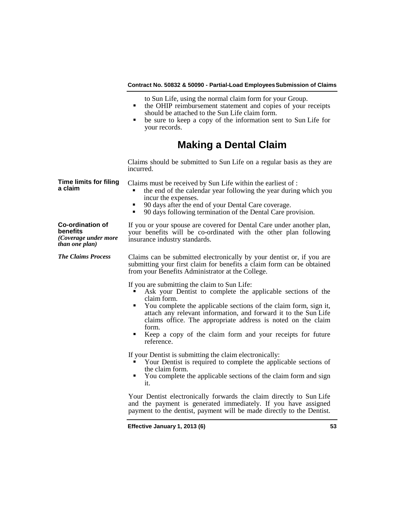- to Sun Life, using the normal claim form for your Group.
- the OHIP reimbursement statement and copies of your receipts should be attached to the Sun Life claim form.
- be sure to keep a copy of the information sent to Sun Life for your records.

# **Making a Dental Claim**

Claims should be submitted to Sun Life on a regular basis as they are incurred.

Claims must be received by Sun Life within the earliest of :

- the end of the calendar year following the year during which you
- **90 days after the end of your Dental Care coverage.**<br>**90 days following termination of the Dental Care property**
- 90 days following termination of the Dental Care provision.

### **Co-ordination of benefits**

**Time limits for filing** 

**a claim**

*(Coverage under more than one plan)*

If you or your spouse are covered for Dental Care under another plan, your benefits will be co-ordinated with the other plan following insurance industry standards.

*The Claims Process* Claims can be submitted electronically by your dentist or, if you are submitting your first claim for benefits a claim form can be obtained from your Benefits Administrator at the College.

If you are submitting the claim to Sun Life:

- Ask your Dentist to complete the applicable sections of the
- claim form. You complete the applicable sections of the claim form, sign it, attach any relevant information, and forward it to the Sun Life claims office. The appropriate address is noted on the claim
- form. Keep a copy of the claim form and your receipts for future reference.

If your Dentist is submitting the claim electronically:

- Your Dentist is required to complete the applicable sections of the claim form.
- You complete the applicable sections of the claim form and sign it.

Your Dentist electronically forwards the claim directly to Sun Life and the payment is generated immediately. If you have assigned payment to the dentist, payment will be made directly to the Dentist.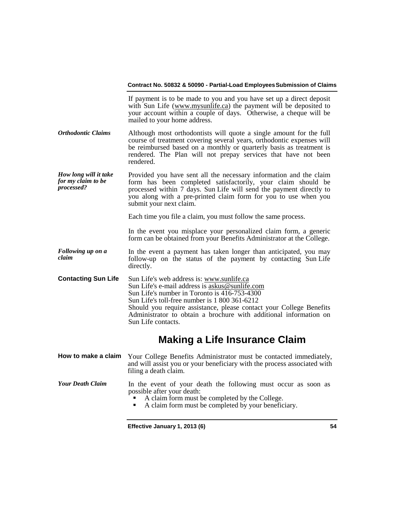| If payment is to be made to you and you have set up a direct deposit<br>with Sun Life (www.mysunlife.ca) the payment will be deposited to<br>your account within a couple of days. Otherwise, a cheque will be<br>mailed to your home address.                                                                                                                 |
|----------------------------------------------------------------------------------------------------------------------------------------------------------------------------------------------------------------------------------------------------------------------------------------------------------------------------------------------------------------|
| Although most orthodontists will quote a single amount for the full<br>course of treatment covering several years, orthodontic expenses will<br>be reimbursed based on a monthly or quarterly basis as treatment is<br>rendered. The Plan will not prepay services that have not been<br>rendered.                                                             |
| Provided you have sent all the necessary information and the claim<br>form has been completed satisfactorily, your claim should be<br>processed within 7 days. Sun Life will send the payment directly to<br>you along with a pre-printed claim form for you to use when you<br>submit your next claim.                                                        |
| Each time you file a claim, you must follow the same process.                                                                                                                                                                                                                                                                                                  |
| In the event you misplace your personalized claim form, a generic<br>form can be obtained from your Benefits Administrator at the College.                                                                                                                                                                                                                     |
| In the event a payment has taken longer than anticipated, you may<br>follow-up on the status of the payment by contacting Sun Life<br>directly.                                                                                                                                                                                                                |
| Sun Life's web address is: www.sunlife.ca<br>Sun Life's e-mail address is askus@sunlife.com<br>Sun Life's number in Toronto is 416-753-4300<br>Sun Life's toll-free number is 1 800 361-6212<br>Should you require assistance, please contact your College Benefits<br>Administrator to obtain a brochure with additional information on<br>Sun Life contacts. |
| <b>Making a Life Insurance Claim</b>                                                                                                                                                                                                                                                                                                                           |
| Your College Benefits Administrator must be contacted immediately,<br>and will assist you or your beneficiary with the process associated with<br>filing a death claim.                                                                                                                                                                                        |
| In the event of your death the following must occur as soon as<br>possible after your death:<br>A claim form must be completed by the College.<br>A claim form must be completed by your beneficiary.<br>٠                                                                                                                                                     |
|                                                                                                                                                                                                                                                                                                                                                                |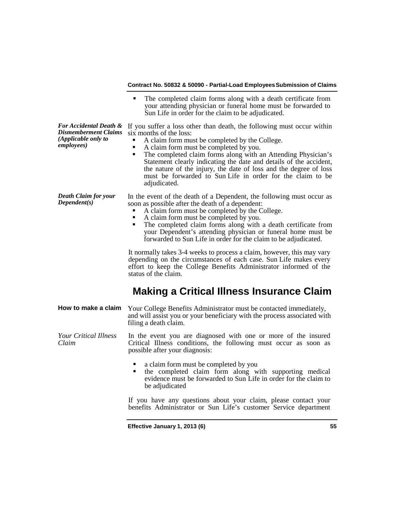|                                                                                     | The completed claim forms along with a death certificate from<br>your attending physician or funeral home must be forwarded to<br>Sun Life in order for the claim to be adjudicated.                                                                                                                                                                                                                                                                                                              |
|-------------------------------------------------------------------------------------|---------------------------------------------------------------------------------------------------------------------------------------------------------------------------------------------------------------------------------------------------------------------------------------------------------------------------------------------------------------------------------------------------------------------------------------------------------------------------------------------------|
| For Accidental Death &<br>Dismemberment Claims<br>(Applicable only to<br>employees) | If you suffer a loss other than death, the following must occur within<br>six months of the loss:<br>A claim form must be completed by the College.<br>A claim form must be completed by you.<br>٠<br>The completed claim forms along with an Attending Physician's<br>٠<br>Statement clearly indicating the date and details of the accident,<br>the nature of the injury, the date of loss and the degree of loss<br>must be forwarded to Sun Life in order for the claim to be<br>adjudicated. |
| Death Claim for your<br>Dependent(s)                                                | In the event of the death of a Dependent, the following must occur as<br>soon as possible after the death of a dependent:<br>A claim form must be completed by the College.<br>A claim form must be completed by you.<br>٠<br>The completed claim forms along with a death certificate from<br>П<br>your Dependent's attending physician or funeral home must be<br>forwarded to Sun Life in order for the claim to be adjudicated.                                                               |
|                                                                                     | It normally takes 3-4 weeks to process a claim, however, this may vary<br>depending on the circumstances of each case. Sun Life makes every<br>effort to keep the College Benefits Administrator informed of the<br>status of the claim.                                                                                                                                                                                                                                                          |
|                                                                                     | <b>Making a Critical Illness Insurance Claim</b>                                                                                                                                                                                                                                                                                                                                                                                                                                                  |
| How to make a claim                                                                 | Your College Benefits Administrator must be contacted immediately,<br>and will assist you or your beneficiary with the process associated with<br>filing a death claim.                                                                                                                                                                                                                                                                                                                           |
| <b>Your Critical Illness</b><br>Claim                                               | In the event you are diagnosed with one or more of the insured<br>Critical Illness conditions, the following must occur as soon as<br>possible after your diagnosis:                                                                                                                                                                                                                                                                                                                              |
|                                                                                     | a claim form must be completed by you<br>the completed claim form along with supporting medical<br>٠<br>evidence must be forwarded to Sun Life in order for the claim to                                                                                                                                                                                                                                                                                                                          |

If you have any questions about your claim, please contact your benefits Administrator or Sun Life's customer Service department

**Effective January 1, 2013 (6) 55**

be adjudicated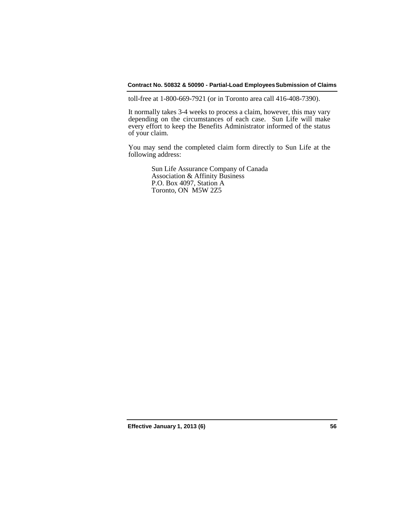toll-free at 1-800-669-7921 (or in Toronto area call 416-408-7390).

It normally takes 3-4 weeks to process a claim, however, this may vary depending on the circumstances of each case. Sun Life will make every effort to keep the Benefits Administrator informed of the status of your claim.

You may send the completed claim form directly to Sun Life at the following address:

> Sun Life Assurance Company of Canada Association & Affinity Business P.O. Box 4097, Station A Toronto, ON M5W 2Z5